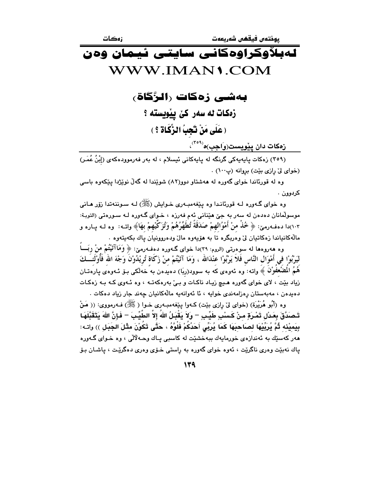# لەبلاّۈكراۋەكانى سايتى ئيمان ۋەن WWW IMAN1 COM

بەشى زەكات رالرَّگاة،

زەكات ئە سەر كى يېمويستە ؟ ( عَلَى مَنْ تَجِبُ الزَّكَاةِ ؟ )

زهکات دان ییویست(واجب)ه<sup>(۲۰۹</sup><sup>۰)</sup>

(٣٥٩) زەكات ياپەيەكى گرنگە لە ياپەكانى ئېسلام ، لە بەر فەرموودەكەي (إِبْنُ عُمَرٍ) (خواى لى رازى بيّت) بروانه (پ١٠٠) .

وه له قورئاندا خوای گهوره له ههشتاو دوو(۸۲) شویندا له گهلٌ نویزژدا ییکهوه باسی کردوون .

وه خوای گـهوره لـه قورئانـدا وه پێغهمبـهری خـوایش (ﷺ) لـه سـوننهتدا زۆر هـانی موسولمانان دهدهن له سهر به جيِّ هيِّناني ئهم فهرزه ، خـواي گـهوره لـه سـورهتي (التوبـة: ١٠٣)دا دهفهومێ: ﴿ خُذْ منْ أَمْوُالهِمْ صَدَقَةً تُطَهِّرُهُمْ وَتُزَكِّيهِمْ بهَا﴾ واتــه: وه لــه پــاره و مالّهکانياندا زەکاتيان ليّ وەربگرە تا به هۆپەوە مالّ ودەروونيان ياك بكەيتەوە .

وه هەروەها لە سوەرتىي (الروم: ٣٩)دا خواي گــهورە دەفــەرمێ: ﴿ وَمَاآتَيْتُمْ منْ رِبَــــاً ليَرْبُوْا في أَمْوَال النَّاس فَلاَ يَرْبُوْا عنْدَالله ، وَمَا آتَيْتُمْ منْ زَكَاة تُرِيْدُونُ وَجْهَ الله فَأُوْلَئــَـكَ هُمُ الْمَصْعَفُوْنَ ﴾ واتـه: وه ئـهوهى كـه بـه سىوود(ربَا) دهيدهن بـه ُخـهڵكى بــوّ ئــهوهى پـارهتــان .<br>زیاد بێت ، لای خوای گەورە هـیچ زیـاد ناکـات و بـیٰ بەرەکەتــه ، وه ئــهوی کـه بـه زەکـات دەيدەن ، مەبەستان رەزامەندى خوايە ، ئا ئەوانەيە مالەكانيان چەند جار زياد دەكات .

وه (أَبُو هُرَيْرَة) (خواى ليٌ رازي بيّت) كـهوا يـيْغهمبـهري خـوا ( ﷺ) فـه(مووى: (( مَنْ تَـصَدَّقَ بِعَـدْل تَمْـرَةٍ مـنْ كَـسْبِ طَيِّـبِ – وَلاَ يَقْبَـلُ اللهُ إلاَّ الطَّيِّـبَ – فَإِنَّ اللهَ يَتَقَبَّلَهَـا بِيَمِيْنِه ثُمَّ يُرِبِّيْهَا لصَاحِبَهَا كَمَا يُرَبِّى أَحَدُكُمْ فَلْوَّهُ ، حَتَّى تَكُوْنَ مثْلَ الجَبَل )) واتـه: مهر کهسێك به ئهندازهي خورمايهك ببهخشێت له کاسبي پـاك وحـهلالي ، وه خـواي گـهوره ياك نهبيّت وهري ناگريّت ، ئەوه خواي گەورە بە راستى خـۆي وەرى دەگريّت ، ياشـان بـۆ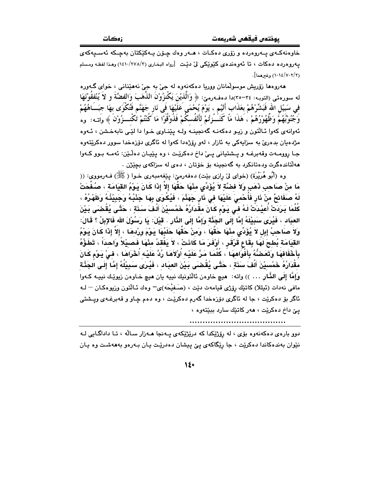خاوەنەكـەي پـەروەردە و زۆرى دەكـات ، ھـەر وەك چـۆن پـەكێكتان بەچـكە ئەسـيەكەي یهروهرده دهکات ، تا ئەوەندەی کَیْویْکی لیْ دیْت [رواه البخاری (۲/۲۷۸/۲) وهـذا لفظـه ومـسلم (١٠١٤/٧٠٢/٢) وغيرهما].

ههروهها زوريش موسولمانان ووريا دهکهنهوه له جيّ به جيّ نههێناني ، خواي گـهوره له سورهتي (التوبه: ٣٤-٣٥)دا دهفهرميّ: ﴿ وَالَّذِيْنَ يَكْنزُونْ الذَّهَبَ وَالْفَضَّةَ و لاَ يُنْفَقُوْنَهَا في سَبَيْلِ اللهِ فَبَشِّرْهُمْ بعَذَابٍ أَليْمٍ ، يَوْمَ يُحْمَى عَلَيْهَا فَى نَارٍ جَهَنَّمٍ فَتُكُوَى بهَا جبَـــَاهُهُمْ وَجُنُوْبُهُمْ وَظَّهُوْرُهُمْ ، هَذَا مَا كَنَـــْزتُمْ لأَنْفُسكُمْ فَذُوْقُوْا مَا كُنْتُمْ تَكْـــزُوْنَ ﴾ وَاتــه: ۚ وه ئەوانەي كەوا ئـالتون و زيـو دەكەنـە گەنجينـە ولـە يـێنـاوي خـوا دا لێـى نابەخـشن ، ئـەوە مژدهیان بدهریٰ به سزایهکی به ئازار ، لهو رۆژهدا کهوا له ئاگری دۆزەخدا سوور دهکرێتهوه جـا روومـهت وقهبرغـه و پــشتياني پــيّ داخ دهكريّـت ، وه پێيـان دهڵـيّن: ئهمـه بـوو كـهوا مهلّتاندهگرت ودهتانکرد به گهنجينه بۆ خۆتان ، دهى له سزاکهى بچێ<del>ژ</del>ن .

وه (أَبُو هُرَيْرَة) (خواي ليْ رازي بيْت) دەفەرمىٰ: يێغەمبەرى خـوا ( ﷺ) فـﻪرمووى: (( مَا منْ صَاحب ذَهَبِ وَلاَ فضَّةٍ لاَ يُؤَدِّى مثْهَا حَقَّهَا إلاَّ إذَا كَانَ يَوْمُ القِيَامَة ، صُفَّحَتْ لَهُ صَفَائِحُ منْ نَارٍ فَأَحْمىَ عَلَيْهَا في نَارٍ جَهَنَّمَ ، فَيُكْوَى بِهَا جَنْبُهُ وَجَبِيْنُهُ وَظَهْرُهُ ، كُلَّمَا بَرِدَتْ أُعِيْدَتْ لَهُ في يَوْم كَانَ مقْدَارُهُ خَمْسِيْنَ أَلْفَ سَذَةٍ ، حَتَّى يُقْضَى بَيْنَ العبَاد ، فَيُرَى سَبِيْلَهُ إِمَّا ۖ إِلَى الْجَذَّة وَإِمَّا إِلَى الذَّارِ . قَيْلَ: يَا رَسُوْلَ الله فَالإبلُ ؟ قَالَ: ولاَ صَاحبُ إِبلِ لاَ يُؤَدِّى مِنْهَا حَقَّهَا ، وَمنْ حَقَّهَا حَلَبُهَا يَوْمَ ورْدهَا ، إلاّ إِذَا كَانَ يَوْمُ القيَامَة بُطحَ لَهَا بِقَاعٍ قَرْقَرٍ ، أَوْفَرَ مَا كَانَتْ ، لاَ يَفْقدُ مِنْهَا فَصيْلاً وَاحدَاً ، تَطَؤُهُ بِأَخْفَافهَا وَتَعَضُّهُ بِأَفْوَاههَا ۚ، كُلَّمَا مَرَّ عَلَيْه أُوْلَاهَا رُدَّ عَلَيْه أُخْرَاهَا ، في يَوْم كَانَ مقْدَارُهُ خَمْسيْنَ أَلْفَ سَنَةٍ ، حَتَّى يُقْصَىَ بَيْنَ العِبَاد ، فَيُرِي سَبِيْلُهُ إِمَّا إِلَى الْجَنَّة وَإِمَّا إِلَى الذَّارِ . . . )) واته: هيچ خاوهن ئالْتونيك نييه يان هيچ خـاوهن زيوێك نييـه كـهوا مافي نەدات (ئېللا) كاتێك رۆژى قيامەت دێت ، (صَـفيْحَه)ى ۖ وەك ئـالْتون وزيوەكـان 一 لــه ئاگر بۆ دەكرێت ، جا لە ئاگرى دۆزەخدا گەرم دەكرێت ، وە دەم چاو و قەبرغـەى ويــشتى يئ داخ دهکريت ، ههر کاتيك سارد ببيتهوه ،

دوو باره ی دهکهنهوه بۆی ، له رۆژێکدا که درێژێکهی پـهنجا هـهزار سـالّه ، تـا داداگـایی لـه نێوان بهندهکاندا دهکرێت ، جا رێگاکهي يێ پيشان دهدرێت پـان بـهرهو بهههشـت وه پـان

 $\mathcal{N}$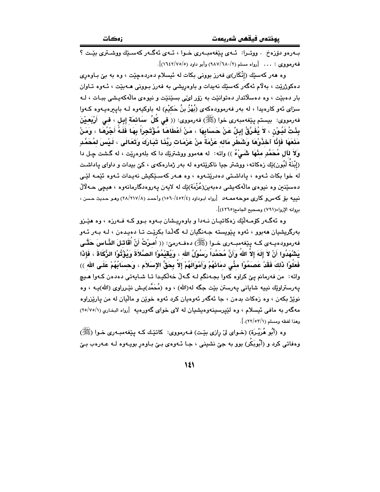بوذتەن فىقفىن شەرىعەت

بهرهو دۆزەخ . ووتىرا: ئىەي يېغەمبەرى خىوا ، ئىەي ئەگىەر كەسىيك ووشىترى يىت ؟ فه دمووي : . . . [رواه مسلم (٢/ ٦٨٠/١٨٧) وأبو داود (٥/ ١٦٤٢/٧٥)].

وه هەر كەسێك (إِنْكَار)ى فەرز بوونى بكات لە ئېسلام دەردەچێت ، وە بە بىّ بـاوەرى دهکوژريّت ، بهلاّم ئهگەر کەسێك نەبدات و باوەريشى بە فەرز بىوونى ھـەبيّت ، ئـەوە تـاوان بار دهبيّت ، وه دهسلاتدار دهتوانيّت به زوّر ايّهي بسيّنيّت و نيوهي مالّهكهيشي بيـات ، لـه سزای ئەو کارەيدا ، لە بەر فەرموودەکەی (بُهْزُ بنُ حَکیْم) لە باوکیەوە لـە بايـبرەيـەوە کـەوا فەرمووى: بيستم يێغەمبەرى خوا (ﷺ) فەرمووى: (( في كُلِّ سَائمَة إبل ، في أَرْبَعيْنَ بِئْتُ لَيُونْ ، لاَ يُفَرَّقُ إِبِلٌ عَنْ حَسَابِهَا ، مَنْ أَعْطَاهَا مُؤْتَجِراً بِهَا فَلَهُ أَجْرُهَا ، وَمَنْ مَنۡعَهَا فَإِنَّا ۡ ٱخۡذُوبُهَا وَشَطِّر مَاله عَزْمَةً منْ عَزَمَات رَبِّنَا تَيَارِكَ وَتَعَالَى ، لَيْسَ لمُحَمَّدِ وَلَا لَآلِ مُحَمَّدِ مِنْهَا شَمَىْءٌ )) واته: له ههموو ووشتريّك دا كه بلهوهريّت ، له گشت چـل دا (اِبْنَةَ لَبُون)ێك زەكاتە، ووشتر جيا ناكرێتەوە لە بەر ژمارەكەي ، كێ بېدات و داواي پاداشت له خوا بکات ئـهوه ، ياداشـتي دهدرێتـهوه ، وه هـهر کهسـێکيش نهيدات ئـهوه ئێمه لێـي دهسێنين وه نيوهي مالّهکهيشي دهبهين(عُزْمَة)ێك له لايهن پهروهدگارمانهوه ، هيڃي حـهلاّلْ نییه بۆ کەس و کارى موحەممەد [رواه ابوداود (١٥٦٠/٤٥٢/٤) وأحمد (٢٨/٢١٧/٨) وهـو حـديث حـسن ، بروانه الإرواء(٧٩١) وصحبح الحامع(٤٢٦٥)].

وه ئهگـهر كۆمـهڵێك زەكاتيـان نـهدا و باوەريـشان بـهوه بـوو كـه فـهرزه ، وه هێـزو بەرگریشیان ھەبور ، ئەوە يێويستە جەنگیان لـه گەلّدا بكرێت تـا دەيدەن ، لـه بـەر ئـەو فه رمووده یــهى کــه پێفهمبــه ری خــوا (ﷺ) دهفــه رمیّ: (( أُصرْتُ أَنْ أُقَاتـْلَ النَّـاسَ حَتَّــى بَشْهَدُوا أَنْ لاَ إِلَهَ إلاَّ اللهُ وَأَنَّ مُحَمَّداً رَسُوْلُ الله ، وَيُقَيْمُوْا الصَّلاَةَ وَيُؤْتُوْا الزَّكَاةَ ، فَإِذَا فَعَلُوْا ذَلكَ فَقَدْ عَصَنَمُوْا مثَّى دمَائَهُمْ وَأَمْوَالَهُمْ إِلاَّ بِحَقِّ الإِسَلاَمِ ، وَحسَابُهُمْ عَلَى الله ﴾) واته: من فەرمانم ييّ كراوه كەوا بجـەنگم لـه گـەلّ خەلّكيـدا تـا شـايەتى دەدەن كـەوا ھـيچ پەرستراوێك نىيە شايانى پەرستن بێت جگە لە(الله) ، وە (مُحَمَّد)پـش نێـرراوى (الله)پـه ، وە نويژ بکهن ، وه زهکات بدهن ، جا ئهگهر ئهوهيان کرد ئهوه خوين و ماليان له من ياريزراوه مهگەر به مافى ئيسلام ، وه لێيرسينەوەيشيان له لاى خواى گەورەيە [رواه البخارى (١/٥/٧٥) وهذا لفظه ومسلم (٢٢/٥٢/١).].

وه (أَبُو هُرَيْـرة) (خـواي ليّ رازي بيّـت) فـهرمووي: كاتيّـك كـه بييّغهمبـهري خـوا (ﷺ) وهفاتی کرد و (اَُبُوبَکْر) بوو به جیؒ نشینی ، جـا ئـهوهی بـیؒ بـاوهڕ بویـهوه لـه عـهرهب بـیؒ

 $\mathcal{N}$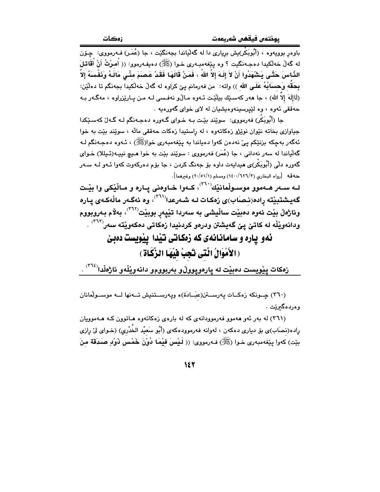له گەلْ خەلْكيدا دەجـەنگيت ؟ وە پێغەمبـەرى خـوا (ﷺ) دەيفـەرموو: (( أُمـرْتُ أَنْ أُقَاتلَ الذَّاسَ حَتَّـى بَـٰتَنْهَدُوا أَنْ لاَ إِلَـهَ إلاَّ اللهُ ، فَمَنْ قَالَهَـا فَقَدْ عَصَمَ مئّـى مَالَـهُ وَذَفْسَهُ إلاَّ بِحَقِّه وَحسابُهُ عَلَى الله )) واته: من فهرمانم ييّ كراوه له گهڵ خهڵكيدا بجهنگم تا دهڵێن: (لَاإِلَهَ إِلاَّ اللهِ) ، جا هەر كەسىيّك بِيلْيّت ئـەوە مـالْ(و نەفـسى لـه مـن يـاريْزراوە ، مەگـەر بـه حهققی نهوه ، وه لێیرسینهوهیشیان له لای خوای گهورهیه .

حا (أُبُويَكُر) فەرمووى: سوێند بٽت بـه خـواي گـەورە دەجـەنگم لـه گـەل ٚكەسـێكدا جياوازي بخاته نٽوان نويزو زهکاتهوه ، له راستيدا زهکات حهققي ماله ، سويند بيّت به خوا ئهگەر بەچكە بزنٽكم يې نەدەن كەوا دەياندا بە يێغەمبەرى خوا(ﷺ) ، ئـەوە دەجـەنگم لـە گهٽياندا له سهر نهداني ، جا (عُمَر) فهرمووي : سوێند بێت به خوا هـيچ نيپـه(ئـيللا) خـواي گەورە بالّى (أَبُويَكُر)ى ھىداپەت باۋە بۆ جەنگ كرين ، جا بۆم باەركەوت كەول ئىەورلىە سىەر حهقه [رواه البخاري (٢/٦٢٦/٢) ومسلم (٢٠/٥١/١) وغيرهما].

لـه سـهر هـهموو موسـولْمانێْك $^{\left(71\right)}$ ، كـهوا خـاوهنى پـاره و مـالْێكى وا بێـت گەيشتبيّتە رادە(نـصـَاب)ى زەكـات لـه شـەرعدا<sup>(۳٦۱)</sup>، وە ئەگـەر ماڵەكـەى يـارە وئاژەڵ بێت ئەوە دەبێت ساڵيشى بە سەردا تێيەر بوبێت<sup>٬۳٦۲</sup>′، بەلام بەروبووم ودانهويْلْه له كاتئ پِیْ گەيشتن ودرەو كردنيدا زەكاتى دەكەويْتە سەر<sup>(٣٦٣)</sup> .

### ئهو یاره و سامانانهی که زهکاتی تیّدا ییّویست دهبیّ (الأَمْوَالُ الَّتَى تَجِبُ فَيْهَا الزَّكَاةِ )

زهكات پێويست دەبێت لە پارەوپووڵو بەربوومو دانەوێڵەو ئاژەڵدا<sup>(۳٦٤)</sup> .

(٣٦٠) چــونكه زەكــات پەرســـتن(عبَــادَة)ە ويەرســـتنيش تـــەنها لـــه موســولْمانان وەردەگىرىنت .

(۳٦۱) له بهر ئهو ههموو فهرموودانهی که له بارهی زمکاتهوه هـاتوون کـه هـهموویان راده(نصَاب)ي بۆ ديارى دەكەن ، لەوانە فەرموودەكەي (أَبُو سَعيْد الخُدْرِي) (خـواي لِيْ رِازِي بِيّت) كەوا يِيْغەمبەرى خـوا (ﷺ) فـەرمووى: (( لَـيْسَ فَيْمَا دُوْنَ خَمْس ذَوْلِ صَدَقَة مِنَ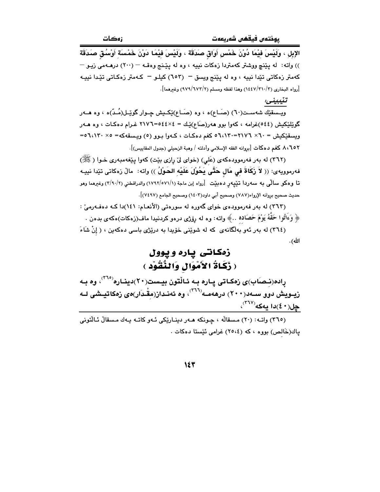الإبلِ ، وَلَيْسَ فِيْمَا دُوْنَ خَمْسٍ أَوَاقٍ صَدَقَةٍ ، وَلَيْسَ فِيْمَا دَوْنَ خَمْسَةٍ أَوْسُقٍ صَدَقَةٍ )) واته: له پێنچ ووشتر کهمتردا زهکات نییه ، وه له پێنج وهقـه – (٢٠٠) درهـهمي زيـو – کهمتر زهکاتی تئدا نبیه ، وه له پننج ویسق – (٦٥٣) کیلـو – کـهمتر زهکـاتی تئـِدا نبیـه [رواه البخاري (١٤٤٧/٣١٠/٣) وهذا لفظه ومسلم (٢/٦٧٣/٣) وغيرهما].

تنيبينى:

ويــسقێك شەســت(٦٠) (صَــاع)ه ، وه (صَــاع)ێِكــيش چــوار گوێـِـل(مُــدّ)ه ، وه هـــهر گوێِلێکیش (٥٤٤)غرامه ، کهوا بوو ههر(صَاع)ێِك = ٥٤٤٤٤٤=٢١٧٦ غـرام دهکـات ، وه هــهر ویسقیکیش = ۲۰× ۲۱۷٦=۲۱۷۰ه کغم دهکات ، کهوا بوو (٥) ویسقهکه= ۲،۱۳۰×۵= ٨،٦٥٢ كغم دهكات [بروانه الفقه الإسلامي وأدلته / وهبة الزحيلي (جدول المقاييس)].

(٣٦٢) له بهر فهرموودهکهي (عَلي) (خواي ليّ رازي بيّت) کهوا پيّغهمبهري خـوا ( ﷺ) فهرموويهى: (( لاَ زَكَاةَ فِي مَال حَتَّى يَحُوْلَ عَلَيْهِ الحَوْلُ )) واته: مالْ زەكاتى تێدا نييـه تا وهکو سالْمی به سهردا تێپیهر دهبێت [رواه اِبن ماجة (١٧٩٢/٥٧١/١) والدراقطني (٣/٩٠/٢) وغیرهما وهو حديث صحيح بروانه الإرواء(٧٨٧) وصحيح أبي داود(١٤٠٣) وصحيح الجامع (٧٤٩٧)].

(٣٦٣) له بهر فهرموودهى خواى گهوره له سورهتى (الأنعـام: ١٤١)دا كـه دهفـهرمىّ : ﴿ وَءَاتُوا حَقَّهُ يَوْمَ حَصَاده ..﴾ واته: وه له روِّژي درهو كردنيدا ماف(زهكات)هكهي بدهن .

(٣٦٤) له بهر ئهو بهلگانهى كه له شوينمى خۆيدا به دريزى باسى دەكەين ، ( إنْ شَاءَ الله).

#### زهکانتی باره و یوول ( زَكَاةُ الأَمْوَالِ وَالنَّقُوْدِ )

راده(نـِصـَاب)ى زەكـاتى پـارە بـه ئـاڵتون بيـست(٢٠)دينـاره<sup>(٢٦٥)</sup>، وە بـه .<br>زیــویش دوو ســهد(۲۰۰) درههمــه<sup>(۲۱۲)</sup>، وه ئهنـداز(مقْـدَار)ەی زەکاتیـِشی لــه  $\mathcal{L}^{(\mathsf{TV})}$ چل $(\mathbf{2}, \mathbf{3})$ دا يەكە

(٣٦٥) واتـه: (٢٠) مسقالُه ، جـونكه هـهر دينـاريْكي ئـهو كاتـه بـهك مسقالٌ ئـالْتوني ياك(خَالص) بووه ، كه (٢٥،٤) غرامي ئَيْستا دەكات .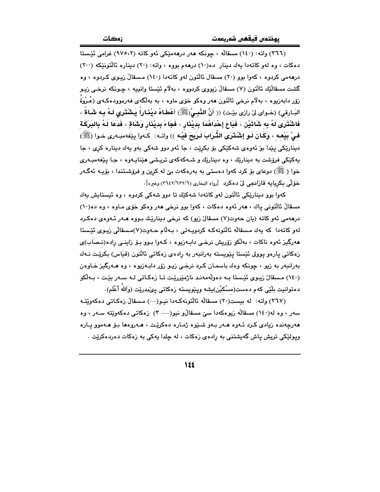(٣٦٦) واته: (١٤٠) مسقالُه ، چونكه ههر درههميّكي ئهو كاته (٩٧٥،٢) غرامي ئيستا دهکات ، وه لهو کاتهدا یهك دینار ده(١٠) درههم بووه ، واته: (٢٠) دیناره ئالتونیکه (٢٠٠) درههمی کردوه ، کهوا بوو (۲۰) مسقال ئالتون لهو کاتهدا (۱٤۰) مسقالٌ زیـوی کـردوه ، وه گشت مسقالُٽِك ئالُٽون (٧) مسقالُ زيووي كردووه ، بهلام ئَيْستا وانيپه ، چـونكه نرخـي زيـو زۆر دابەزيوه ، بەلام نرخى ئالتون ھەر وەكو خۆى ماوە ، بە بەلگەى فەرموودەكـەى (عُـرْوَةَ البَـارقى) (خـواى لِنّ رازى بِيّـت) (( أَنَّ النَّبِـيِّ(ﷺ) أَعْطَـاهُ ديْنَـارَاً يَـشْتَرى لَـهُ بِـه شَـاةً ، فَاشْتَرَى لَهُ بِهِ شَاتَيْنَ ، فَبَاعَ إِحْدَاهُمَا بِدِيْنَارٍ ، فَجَاءَ بِدِيْنَارٍ وَشَاقٍ ، فَدَعَا لَـهُ بِالبَرَكَـة فـيْ بَيْعـه ، وَكَـانَ لَـو إشْـتَرَى التُّـرَابَ لَـرَبِحَ فيْـه )) واتــه: كـهوا بِيْغهمبـهري خـوا (ﷺ) دينارێکي يێدا بێ ئەوەي شەکێکي بۆ بکرێت ، جا ئەو دوو شەکي بەو يەك دينارە کري ، جا بهکێکی فرۆشت به دینارێك ، وه دینارێك و شـهکهکهی تریشی هێناپـهوه ، جـا یێغهمبـهری خوا ( ﷺ) دوعای بۆ کرد کەوا دەستى بە بەرەکەت بىّ لە کرین و فرۆشتندا ، بۆیـە ئەگـەر خَوْلَمِي بِكرِيابِهِ قازانجِي لِيِّ دهكردِ [رواه البخاري (٣٦٤٢/٦٣٢/٦) وغيره].

کەوا بوو دېنارێکى ئالتون لەو کاتەدا شەکێك تا دوو شەکى کردوە ، وە ئېستاپش پەك مسقالٌ ئالتونى ياك ، هەر ئەوە دەكات ، كەوا بوو نرخى هەر وەكو خۆى مـاوە ، وە دە(١٠) درههمي ئهو کاته (يان حەوت(٧) مسقالٌ زيو) که نرخي دينارێك بووه هـهر ئـهوهي دهكرد لەر كاتەدا كە يەك مسقالْه ئالتونەكە كردويـەتى ، بـەللام ھـەوت(٧)مـسقالْي زيـوي ئێـستا هەرگیز ئەوە ناكات ، بەلكو زۆریش نرخمي دابەزیوە ، كـەوا بـوو بـۆ زاينـي رادە(نـصَاب)ى زەكاتى يارەو يوولى ئێستا يێويستە بەرانبەر بە رادەي زەكاتى ئالتون (قيَاس) بكرێت نـﻪك بهرانبهر به زيو ، چونکه وهك باسمـان كـرد نرخـى زيـو زۆر دابـهزيوه ، وه هــهرگيز خـاوهن (١٤٠) مسقالٌ زيـوى ئێـستا بـه دەولّەمەنـد ناژمێررێـت تـا زەكـاتى لـه سـەر بێـت ، بـەلٚكو دەتوانيت بلێي كەم دەست(مسْكيْن)يشە ويێويستە زەكاتى يێبدرێت (وَاللهُ أَعْلَم).

(٣٦٧) واته: له بيست(٢٠) مسقالُه ئالتونهكهدا نيو(---) مسقالٌ زهكاتي دهكهويِّته سهر ، وه له(۱٤۰) مسقالُه زیوهکهدا سیّ مسقالٌو نیو(---- ۳) زهکاتی دهکهویّته سـهر ، وه هەرچەندە زيادى كرد ئـهوه هـهر بـهو شـێوه ژمـاره دەكرێت ، هـهروهها بـۆ هـهموو يـاره ویولێکی تریش یاش گەیشتنی بە را*د*ەی زەکات ، لە چلدا پەکی بە زەکات *د*ەردەکرێت .

 $\lambda$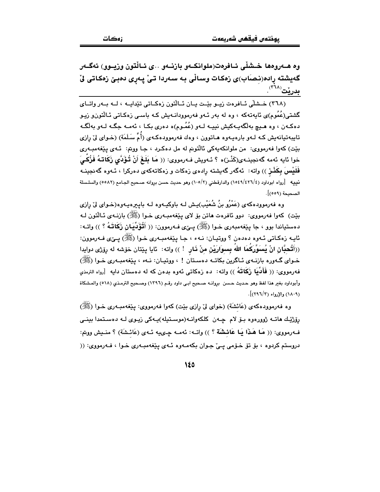وه هــهروهها خــشلّي ئــافرهت(ملوانكــهو بازنــهو ..ي ئــالْتون وزيــوو) ئهگــهر گەيشتە رادە(نـصـَاب)ى زەكـات وسـاڵى بـه سـەردا تـىٰ پـەرى دەبـىٰ زەكـاتى لىٰ <mark>بدرێ</mark>ت<sup>(۲۲</sup>۰).

(٣٦٨) خيشلي ئيافرەت زييو بِيِّت ييان ئيالتون زەكياتى تێداييە ، ليە بيەر واتياي گشتی(عُمُوم)ی ئاپەتەکە ، وە لە بەر ئـەو فەرموودانـەيش کـە باسـی زەکـاتی ئـالْتونو زيـو دهکەن ، وه هىيچ بەلگەپبەکيش نىييە لـەو (عُمُوم)ە دەرى بکـا ، ئەمـە جگـە لـەو بەلگـە تايبهتيانهيش كـه لـهو بارهيـهوه هـاتوون ، وهك فهرموودهكـهى (أُمٌّ سَلَمَة) (خـواى ليّ رازى بێت) کەوا فەرمووى: من ملوانکەيەکى ئالتونم لە مل دەکرد ، جـا ووتم: ئـەي يێغەمبـەرى خوا ئايه ئەمە گەنجينــەى(كَنْـز)ە ؟ ئــەويش فــەرمووى: (( مَا بَلَغَ أَنْ تُـؤَدَّى زَكَاتـهُ فَزُكـَىَ فَلَيْسَ بِكَنْـز )) واته: ئەگەر گەيشتە رادەي زەكات و زەكاتەكەي دەركرا ، ئـەوە گەنجينــە نييه [رواه ابوداود (٤/٤٢٦/٤٢٦) والدارقطني (٢/٥٠٥) وهو حديث حسن بروانه صحيح الجـامع (٥٥٨٢) والسلسلة الصحيحة (٥٥٩)].

وه فەرموودەكەي (عَمْرُو بنُ شُعَيْب)يـش لـه باوكيـەوه لـه بايـيرەيـەوە(خـواي لىٰ رازى بيّت) کەوا فەرمووى: دوو ئافرەت ھاتن بۆ لاي پيّغەمبـەرى خـوا (ﷺ) بازنـەي ئـالْتون لـە دهستياندا بوو ، جا پێغەمبەرى خـوا (ﷺ) پـِێى فـەرموون: (( أَتُؤَدِّيَان زَكَاتَـهُ ؟ )) واتـه: ئاڀه زهکاتي ئـهوه دهدهن ؟ ووتيـان: نـهء ، جـا پێغهمبـهري خـوا (ﷺ) پـێي فـهرموون: ((أَتُحبَّانِ انْ يُسَوِّرَكُمَا اللهِ بِسوَارَيْنِ منْ ذَارٍ ۚ ! )) واته: ۚ ئايا پێتان خۆشه له رِۆرْى دوايدا خـواي گـهوره بازنـهي ئـاگرين بكاتـه دهسـتان ! ، ووتيـان: نـهء ، يـێغهمبـهري خـوا (ﷺ) فه(مووى: (( فَأَلَايَا زَكَاتَهُ )) واته: ده زهكاتي ئهوه بدهن كه له دهستان دايه [رواه الترمذي وأبوداود بغير هذا لفظ وهو حديث حسن بروانــه صـحيح ابـى داود رقـم (١٣٩٦) وصـحيح الترمـذي (٥١٨) والمشكاة (١٨٠٩) والإرواء (٢٩٦/٣)].

وه فەرموودەكەي (عَائشَة) (خواي ليْ رازى بيْت) كەوا فەرمووى: يَـيْغەمبــەرى خــوا (ﷺ) رۆژێك ھاتــه ژوورەوە بــۆ لام چــەن كلكەوانــە(موسـتيلـه)پــەكى زيـوى لــه دەسـتمدا بينــى فـهرمووي: (( مَا هَذَا بَا عَائِشَةٌ ؟ )) واتـه: ئهمـه حِـىيه ئـهى (عَائـشَةٌ) ؟ منـيش ووتم: دروستم کردوه ، بۆ تۆ خـۆمى يــيّ جـوان بکهمـهوه ئـهى يـێغهمبـهرى خـوا ، فـهرمووى: ((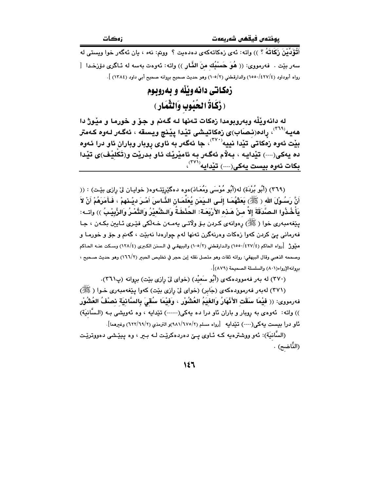أَتُوَْدِّيْنَ زَكَاتَهُ ؟ )) واته: ئەي زەكاتەكەي دەدەيت ؟ وونم: نەء ، يان ئەگەر خوا ويستى لە سەر بێت . فەرمووى: (( هُوَ حَسْبُك منَ الذَّار )) واتە: ئەوەت بەسە لە ئـاگرى دۆزخـدا [ رواه أبوداود (٤٢٧/٤/١٥٥٠) والدارقطني (٢/٥٠/) وهو حديث صحيح بروانه صحيح أبي داود (١٣٨٤) ].

> زوكاتي دانه وٽلّه و بهروبوم ( زَكَاةُ الحُبُوبِ وَالثَّمَارِ )

له دانهويْلْه وبهروبومدا زهكات تـهنها لـه گـهنم و جـوّ و خورمـا و ميّـوژ دا هەيـه<sup>(٢٦٩)</sup>، رادە(نـصـَاب)ى زەكاتيـشى تيْـدا ييْـنج ويـسقه ، ئەگـەر لـەوە كـەمتر بِيْتٌ ئەوە زەْكاتىَ تِيْدا نيييە $^{\mathcal{V} \times \mathcal{V}^*}$ ، جا ئەگەر بە ئاوى روبار وباران ئاو درا ئەوە ده يەكى(----) تێدايـه ، بـﻪلاّم ئەگـەر بـه ئامێرێك ئـاو بدرێت و(تَكْليْف)ى تێدا بكات ئەوە بېست بەكى(---) تێدابە<sup>(۳۷۱)</sup>،

(٣٦٩) (أَبُو بُرْدَة) له(أَبُو مُوْسَى وَمُعَـاذ)هوه دهگێرێتـهوه( خوايـان ليّ رازي بێت) : (( أَنَّ رَسُـوْلَ الله ﴿ ﷺ) بَعَثَهُمَـا إِلَـى الـيَمَنْ يُعَلِّمَـانِ النَّـاسَ أَمْـرَ ديْـنهمْ ، فَـأمَرَهُمْ أَنْ لاَ يَأْخُذُوا الـصَّدَقَةَ إلاَّ مـنْ هَـذه الأَرْبَعَـة: الحُنْطَـةُ وَالـشَّعْيْرُ وَالتَّمْـرُ وَالزَّبِيْـبُ )) واتــه: يٽِغەمبەرى خوا (ﷺ) رەوانەي كردن بىۆ ولاتـى يەمـەن خـەلكى فێـرى ئـايين بكـەن ، جـا .<br>فەرمانى يېّ كردن كەوا زەكات وەرنەگرن تەنھا لەم چوارەدا نەبێت ، گەنم و جۆ و خورمـا و منِورٌ [رواه الحاكم (٤٢٧/٤/١٥٥٠) والدارقطني (١٠٥/٢) والبيهقي في الـسنن الكبرى (٤/١٢٨) وسـكت عنــه الحـاكم وصححه الذهبي وقال البيهقي: رواته ثقات وهو متصل نقله إبن حجر في تخليص الحبير (١٦٦/٢) وهو حديث صـحيح ، بروانه الإرواء(٨٠١) والسلسلة الصحيحة (٨٧٩)].

(٣٧٠) له بهر فهموودهکهي (أَبُو سَعيْدٍ) (خواي ليٌ رازي بيّت) بروانه (پ٣٦١).

(۳۷۱) له به ر فه رمووده که ی (جَابِر) (خوای لیّ رازی بیّت) کهوا پیّغهمبهری خـوا (ﷺ) فەرمووى: (( فَيْمَا سَقَت الأَنْهَارُ وَالغَيَمُ العُشُوْرِ ، وَفَيْمَا سُقِّيَ بِالسَّانِيَة نَصنْفُ العُشُوْر )) واته: ئەوەي بە روبار و باران ئاو درا دە يەكى(-----) تێدايە ، وە ئەويشى بـه (الـسَّانيَة) ئاو درا بيست يەكى(----) تێدايە [رواه مسلم (٢/٩٨١/٦٧٥)و الترمذي (٢/٦٩/٦٩) وغيرهما].

(السَّانيَة): ئەو ووشترەيە كـه ئـاوى يــێ دەردەكرێت لـه بـبر ، وە يـيێشى دەووترێت (النَّاضح) .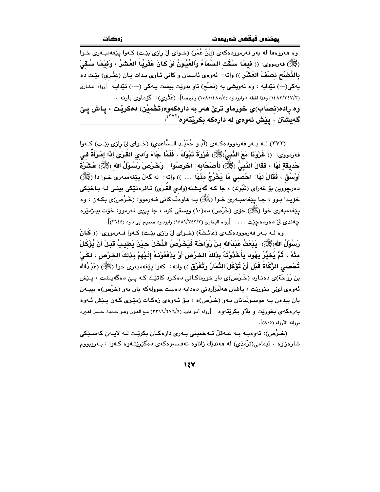وه هەروەها له بەر فەرموودەكەي (إِبْنُ عُمَرٍ) (خـواي لِيّ رازي بێت) كـەوا يێغەمبـەرى خـوا (ﷺ) فەرمورى: (( فَيْمَا سَقَت السَّمَاءُ وَالغُيُوْنُ أَوْ كَانَ عَثَرِيِّا ۚ العُشْرُ ، وَفَيْمَا سُقَىَ بِالنَّصْبْحِ نصْفْ العُشْرِ )) واته: ئەوەي ئاسمان و كانى ئـاوى بـدات يـان (عثْـري) بێـت دە يهکي(---) تێدايه ، وه ئەويشى به (نَضْح) ئاو بدرێت بيست پـهکي (----) تێداپـه [رواه البخاري (٢/١٤٨٣/٣٤٧) وهذا لفظه ، وابوداود (٤/٥٨١/٤٨٥/٤) وغيرهما]. (عَثَري): گۆماوي بارنـه . وه راده(نصاب)ی خورماو تریٌ هەر به دارەکەوه(تَخْمِیْن) دەکریْت ، پاش پیّ گەيشتن ، يێش ئەوەي لە دارەكە بكرێتەوە<sup>(٣٧٢)</sup>،

(٣٧٢) لــه بــهر فهرموودهكــهى (أبُــو حُمَيْـد الـسَّاعدي) (خــواى ليّ رازى بيّـت) كــهوا فەرمووى: (( غَزَوْنَا مَعَ الذَّبِيِّ(ﷺ) غَزْوَةَ تَبُوْكَ ، فَلَمَّا جَاءَ وَادى القُرَى إِذَا إمْرَأَةً في حَدِيْقَةٍ لَهَا ، فَقَالَ النَّبِيُّ (ﷺ) لِأَصْحَابِهِ: اخْرِصُوا . وَخَرَصَ رَسُوْلُ اللهِ (ﷺ) عَشْرَةَ أَوْسُقَ ، فَقَالَ لَهَا: احْصبي مَا يَخْرُجُ مِنْهَا … )) واته: له گەلْ يێفەمبەرى خـوا دا (ﷺ) دەرجووين بۆ غەزاي (تَبُوك) ، جا كـه گەپـشتە(وَادى القُـرَى) ئـافرەتێكى بينـي لـه بـاخێكى خۆيـدا بـوو ، جـا يێغەمبـەرى خـوا (ﷺ) بـه هاوەڵـەكانى فـەرموو: (خَـرْص)ى بكـەن ، وه يێغەمبەرى خوا (ﷺ) خۆي (خَرْص) دە(١٠) ويسقى كرد ، جا يـێي فەرموو: خۆت بيـژمێرە جه ندي ليٌ ده رده جيّت . . . [رواه البخاري (٢/٣٤٢/٢) وابوداود صحيح ابي داود (٢٦٤٤)].

وه لـه بـهر فهرموودهكـهي (عَائـشَة) (خـواي ليّ رازي بيّـت) كـهوا فـهرمووي: (( كَمانَ رَسُوْلُ اللهِ(ﷺ) ۚ يَدْعَثُ عَبْدَالله بنَ رَوَاحَةَ فَيَخْرُصُ النَّخْلَ حيْنَ يَطيبُ قَبْلَ أَنْ يُؤْكَلَ منْهُ ، ثُمَّ يُخَيِّرُ يَهُودَ يَأْخُذُوْنَهُ بِذَلكَ الحَرْص أَوْ يَدْفَعُوْنَهُ إِلَيْهِمْ بِذَلكَ الخرْص ، لكَىْ تُحْصـَى الزَّكَاةُ قَبْلَ أَنْ تُؤْكَلَ الثِّمَارُ وَتُفَرَّقَ )) واته: كەوا يـێفەمبەرى خوا (ﷺ) (عَبْدُالله بن رَوَاحَة)ي دەنـارد (خَـرْص)ي دار خورماكـانى دەكـرد كاتێـك كـه يـێ دەگەيـشت ، پـێش ئەوەي لۇٽى بخوريّت ، ياشان ھەلبْژاردنى دەدايە دەست جوولەكە يان بەو (خَرْص)ە بيبـەن يان بيدەن بـه موسـولْمانان بـهو (خَـرْص)ه ، بـۆ ئـهوهى زەكـات ژمێـرى كـهن پـێش ئـهوه به رهکهی بخوریّت و بلّاو بکریّتهو ه [رواه أبـو داود (٢٢٩٦/٢٧٦/٩) مـع العـون وهـو حـديث حـسن لغـره مروانه الأرواء (٨٠٥)].

(خَرْص): ئەوەپيە بيە عيەقلْ تىەخمىنى بيەرى دارەكيان بكريّت ليە لاييەن كەسىيْكى شارەزاوە . ئىيمامى(تىْرەنىي) لە ھەندېّك زاناوە تەفسىيرەكەى دەگێڕێتـەوە كـەوا : بـەروبووم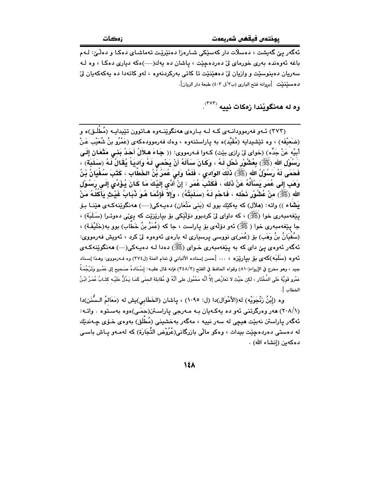.<br>ئەگەر يى گەيشت ، دەسلات دار كەس<u>ت</u>كى شـارەزا دەن<u>ترت</u>ت تەماشـا*ى* دەكـا و دەلـّى: لـەم باغه ئەوەندە بەرى خورماى لى دەردەچێت ، پاشان دە پەك(----)ەكە ديارى دەكـا ، وە لـە سەريان دەينوسٽت و وازيان ليّ دەھٽنٽت تا كاتى بەركردنەوە ، لەو كاتەدا دە يەكەكەيان ليّ د هسپينٽيٽ [بروانه فتح الباري (ب٣/ل ٤٠٣) طبعة دار الريان].

وه له هەنگويْندا زەكات نييە <sup>(٣٧٣)</sup>.

(۳۷۳) ئـهو فهرموودانـهى كـه لـه بـارهى ههنگوێنـهوه هـاتوون تێيدايـه (مُطْلَـق)ه و (ضَعيْفَه) ، وه تێشيدايه (مُقَيَّد)ه به ياراستنهوه ، وهك فهرموودهكهى (عَمْرُو بنُ شُعَيْب عَنْ أبيْه عَنْ جَدِّه) (خواي ليّ رازي بيّت) كـهوا فـهرمووي: (( جَـاءَ هـلاَلُ أَحَدُ بَنـْـي مَتْعَانِ إلَـي رَسُوۡل الله (ﷺ) بِعُشُوْرٍ ذَحْل لَـهُ ، وَكَانَ سَأَلَهُ أَنْ يَحْمـى لَـهُ وَادِيَاۚ يُقَالُ لَـهُ (سَلَبَة) ، فَحَمَى لَهُ رَسُوْلُ الله (ﷺ) ذَلَكَ الوَادى ، فَلَمَّا وَلَىَ عُمَرُ بْنُ الخَطَّابِ ، كَتَبَ سُفْيَانُ بْنُ وَهَبِ إِلَى عُمَرٍ يَسْأَلُهُ عَنْ ذَلِكَ ، فَكَتَبَ عُمَرٍ : إِنْ أَدَّى إِلَيْكَ مَا كَانَ يُؤَدِّى إِلَى رَسُوْل الله (ﷺ) مِنْ عُشُوْرٍ نَحْلِه ، فَاحْمِ لَهُ (سَلَبَتُهُ) ، وَإِلاَّ فَإِنَّمَا هُوَ ذُبَابُ غَيْثِ يَأْكَلُهُ مَنْ يَشَاء )) واته: (ملأل) كه يهكيّك بوو له (بَني مَتْعَان) دهيـهكي(----) ههنگويّنهكـهى هيّنــا بـوّ پێغەمبەرى خوا (ﷺ) ، كە داواى لىْ كردبوو دۆلێكى بۆ بپارێزێت كە پىێى دەوتـرا (سَلَبَة) ، جا پێِغهمبەرى خوا ( ﷺ) ئەو دۆلەي بۆ پاراست ، جا كە (عُمَرُ بنُ خَطَّاب) بوو بە(خَلَيْفَـة) ، (سُفْيَانُ بنُ وَهَب) بۆ (عُمَر)ى نووسى پرسپارى له بارەي ئەوەوە لىٚ كرد ، ئەوپش فەرمووى: ئەگەر ئەوەي يېْ داي كە بە يێغەمبەرى خـواي (ﷺ) دەدا لـە دەپـەكى(---) ھەنگوێنەكـەي ئـهوه (سلَلَبَه)كهى بق بياريْزه ، … [حسن إسناده الألباني في تمام المنة (ل٣٧٤) وه فـهرمووى: وهـذا إسـناد جيد ، وهو مخرج في الإرواء(٨١٠) وقواه الحافظ في الفتح (٣٤٨/٣) فإنه قال عقبـه : إسْـنَادهُ صَـحيح إلى عَمْـرو وَتَرْجُمَـةُ عَمْرِو قَوِيَّة عَلَى المُخْتَار ، لَكن حَيْث لا تَعَارُض إلاَّ أنَّه مَحْمُول على أنَّهُ في مُقَابلة الحمَى كَمَا يَدُلُّ عَلَيْـه كتَـابُ عُمَـرُ ابْـنُ الخطاب ].

وه (إِبْنُ زَنْجَوَيْه) له(الأَمْوَال)دا (ل: ١٠٩٥) ، ياشان (الخَطَابي)يش له (مَعَالمُ السُّنَن)دا (٢٠٨/١) ههر وهرگرتني ئهو ده يهكهيان بـه مـهرجي پاراسـتن(حمَـي)هوه بهسـتوه . واتـه: ئەگەر ياراستن نەبێت ھیچی لە سەر نیپە ، مەگەر بەخشىنى (مُطلَق) بەوەي خىۆي چـەندێك له دەستى دەردەجێت بېدات ، وەكو ماڵى بازرگانى(عُرُوْض التِّجَارَة) كە لەمـەو پـاش باسـى دەكەين (إنشاء الله) .

 $\lambda$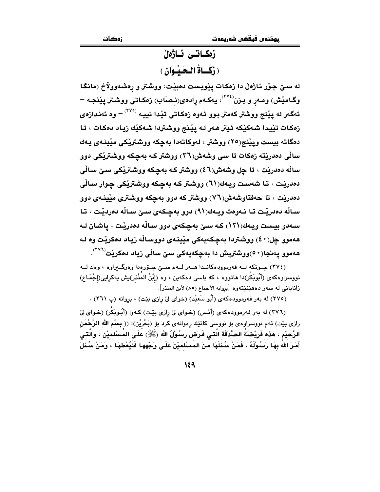# زەكـاتـى ئـاژەڵ ( ذَكَـاةُ الْبِحَيْبُوَانِ )

له سـێ جـۆر ئـاژەلْ دا زەكـات يێويست دەبێت: ووشتر و رەشـەوولاخ (مانگـا وگـامێش) ومـەڕ و بـزن<sup>(۲۷٤)</sup>، يەكـەم ڕادەى(نـِصـَاب) زەكـاتى ووشـتر پێنجـە – ئهگەر له پێنج ووشتر كەمتر بـوو ئـهوه زەكـاتى تێدا نييـه <sup>‹‹</sup>٬<sup>۳۷</sup> – وه ئەنـداز*ەی* زهكات تيْيدا شەكيْكە ئيتر هەر لـه ييْنج ووشتردا شەكيْك زياد دەكات ، تا دمگاته بيست ويێنج(٢٥) ووشتر ، لەوكاتەدا بەچكە ووشترێكى مێينـەي يـەك ساڵی دهدریْته زهکات تا سی وشهش(۳٦) ووشتر که بهچکه ووشتریْکی دوو ساله دهدريّت ، تا چل وشهش(٤٦) ووشتر کـه بهچکه ووشتريّکي سـێ سـالّي دهدريّت ، تا شەست ويـهك(٦١) ووشتر كـه بەچكە ووشتريّكى چوار سـالّى دهدريْت ، تا حەفتاوشەش(٧٦) ووشتر كە دوو بەچكە ووشترى مێينـەي دوو سالّه دەدريّت تـا نـهوهت ويـهك(٩١) دوو بهچكهى ســئ سـالّه دەرديّت ، تـا سـهدو بيست ويـهك(١٢١) كـه سـێ بهچكهي دوو سـالّه دهدريّت ، ياشـان لـه ههموو چل(٤٠) ووشتردا بهچکهیهکی مێینهی دووسالْه ریاد دهکریت وه لـه هەموو پەنجا $( \bullet \bullet )$ ووشتریش دا بەچكەبەكى سىّ سالّى زياد دەكرنت $^{(\mathsf{V} \mathsf{V})}$ .

(٣٧٤) چـونکه لـه فهرموودهکانـدا هـهر لـهم سـێ جـۆرهدا وهرگـیراوه ، وهك لـه نووسراوهکهی (أَبُوبَکْر)دا هاتووه ، که باسی دهکهین ، وه (إِبْنُ المَنْذر)یش یهکرِایی(إِجْمَاعِ) زاناباني له سەر دەھێنێتەوە [بروانه الأجماع (٨٥) لأبن المنذر].

(٣٧٥) له بهر فهرموودهكهى (أَبُو سَعيْد) (خواى ليّ رازى بيّت) ، بروانه (پ ٣٦١) .

(٣٧٦) له بهر فهرموودهكهي (أنَّس) (خـواي ليِّ رازي بيِّت) كـهوا (أَبُـوبَكْر) (خـواي ليّ رازی بێت) ئهم نووسراوهی بۆ نووسی کاتێك رِهوانهی کرد بۆ (بَحْریْن): (( **بِس**ْمِ اللهِ الرَّحْمَنِ الرَّحيْم ، هَذه فَرِيْضنَةُ الصَّدَقَة الَّتـٰى فَرَضَ رَسُوْلُ الله (ﷺ) عَلَى المُسْلميْن ، وَالَّتـٰى أَمَرَ اللَّهُ بِهَا رَسُوْلَهُ ، فَمَنْ سُئْلَهَا منَ المُسْلميْنَ عَلَى وَجْهها فَلْيُعْطهَا ، وَمَنْ سُئْلَ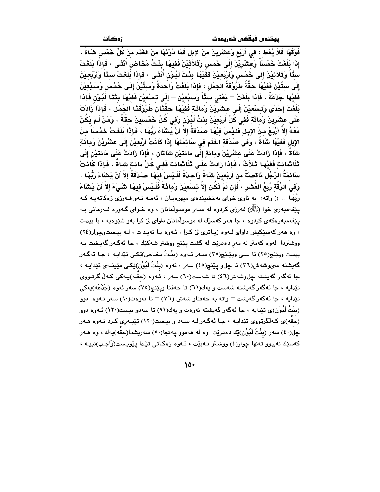زهکات

فَوْقَهَا فَلاَ يُعْطِ : فِي أَرْبَع وَعِشْرِيْنَ مِنَ الإِبلِ فَمَا دُوْنَهَا منَ الغَذَمِ منْ كُلِّ خَمْس شَاةٌ ، إِذَا بِلَغَتْ خَمْساَ وَعشْرِيْنَ إِلَى خَمْسٍ وَثَلاَثَيْنَ فَفِيْهَا بِنْتُ مَخَاضٍ أُنْثَى ، فَإِذَا بَلَغَتْ ستَّاَ وَتَلاَثيْنَ إِلَى خَمْس وَأَرْبَعيْنَ فَفَيْهَا بِنْتُ لَبُونْ أَنْثَى ، فَإِذَا بَلَغَتْ ستَّاَ وَأَرْبَعيْنَ إِلَى ستِّيْنَ فَفيْهَا حقَّةٌ طَرُوْقَةُ الجَمَل ، فَإِذَا بَلَغَتْ وَاحدَةً وَستِّيْنَ إِلَـى خَمْس وَسَبْعيْنَ فَفيْهَا جَذَعَةٌ ، فَإِذَا بَلَغَتْ – يَعْنى ستًّا وَسَبْعيْنَ – إِلَى تسْعيْنَ فَفيْهَا بِنْتَا لَبُوْن فَإِذَا بَلَغَتْ إِحْدَى وَتَسْعِيْنَ إِلَى عشْرِيْنَ وَمائَةٍ فَفِيْهَا حقَّتَانِ طَرُوْقَتَا الجَمَل ، فَإِذَا زَادَتْ عَلَى عشْرِيْنَ وَمَائَةٍ فَفي كُلِّ أَرْبَعِيْنَ بِنْتُ لَبُوْنٍ وَفِي كُلِّ خَمْسِيْنَ حِقَّةٌ ، وَمَنْ لَمْ يَكُنْ مَعَهُ إِلاَّ أَرْبَـمٌ منَ الإِبلِ فَلَـيْسَ فَيْهَا صَدَقَةٌ إِلاَّ أَنْ يَشَاءَ رَبُّهَا ، فَإِذَا بَلَغَتْ خَمْسَاً منَ الإبل فَفَيْهَا شَاةٌ ، وَفَى صَدَقَة الغَذَم في سَائِمَتِهَا إِذَا كَانَتْ أَرْبَعِيْنَ إِلَى عِشْرِيْنَ وَمِائَةٍ شَاةً ، فَإِذَا زَادَتْ عَلَى عشْرِيْنَ وَمائةٍ إِلَى مائَتَيْنِ شَاتَانِ ، فَإِذَا زَادَتْ عَلَى مَائَتَيْنِ إِلَى تْلَاتْمَائَةِ فَفَيْهَا ثَـلاَتُ ، فَإِذَا زَادَتْ عَلَـى ثَلَاتْمائـة فَفـى كُلِّ مَائـةِ شَـاةٌ ، فَإِذَا كَاذَتْ سَائمَةُ الرَّجُل ذَاقصَةً منْ أَرْبَعيْنَ شَاةً وَاحدَةً فَلَيْسَ فيْهَا صَدَقَةٌ إلاَّ أَنْ يَشَاءَ رَبُّهَا وَفى الرِّقَّة رُبْعُ العُشْرِ ، فَإِنْ لَمْ تَكُنْ إِلاَّ تـْسْعِيْنَ وَمائَةً فَلَـيْسَ فيْهَا شَـىْءٌ إِلاّ أَنْ يَشَاءَ رَبُّهَا ،. )) واته: به ناوی خوای بهخشیندهی میهرهبـان ، ئهمـه ئـهو فـهرزی زهکاتهیـه کـه يێغەمبەرى خوا (ﷺ) فەرزى كردوه لە سەر موسىولمانان ، وه خـواي گـەورە فـەرمانى بـە پێغهمبهرهکهی کردوه ، جا ههر کهسێك له موسولْمانان داوای ليّ کرا بهو شێوهيه ، با بيدات ، وه ههر کهسێکیش داوای لهوه زیاتری لیّ کرا ، ئهوه با نهیدات ، له بیستوچوار(٢٤) ووشتردا ً لەوە كەمتر لە مەر دەدرێت لە گشت بێنچ ووشتر شەكێك ، جا ئەگەر گەبىشت بـە بيست ويێنڇ(٢٥) تا سي ويێنچ(٣٥) سـهر ئـهوه (بِنْتُ مَخَاض)ێِکي تێدايـه ، جـا ئهگـهر گەيشتە سىھشىش(٣٦) تا چلٯ يێنچ(٤٥) سەر ، ئەوە (بنْتُ لَبُوْن)ێِكى مێينـەي تێدايـە ، جا ئەگەر گەيشتە چلوشەش(٤٦) تا شەست(٦٠) سەر ، ئـەوە (حقّـە)پـەكى كـەلّ گرتـووى تێدايه ، جا ئەگەر گەيشتە شەست و پەك(٦١) تا جەفتا ويێنچ(٧٥) سەر ئەوە (جَذَعَه)پەكى تێدایه ، جا ئەگەر گەیشت – واتە بە حەفتاو شەش (٧٦) – تا نەوەت(٩٠) سەر ئـەوە دوو (بِنْتُ لَبُوْن)ى تێدايه ، جا ئەگەر گەيشتە نەوەت و يەك(٩١) تا سەدو بيست(١٢٠) ئــەوە دوو (حقّه)ی کـهالگرتوری تێدایـه ، جـا ئهگـهر لـه سـهد و بیـست(۱۲۰) تێیـهری کـرد ئـهوه هـهر جِل(٤٠) سەر (بِنْتُ لَبُوْن)ێِك دەدرێِت وە لە ھەموو پەنجا(٥٠) سەرپشدا(حقّه)پەك ، وە ھـەر كەسێك نەيبوو تەنھا چوار(٤) ووشىتر نـﻪبێت ، ئـﻪوە زەكـاتى تێدا پێويـست(وَاجـب)نييـﻪ ،

 $10-$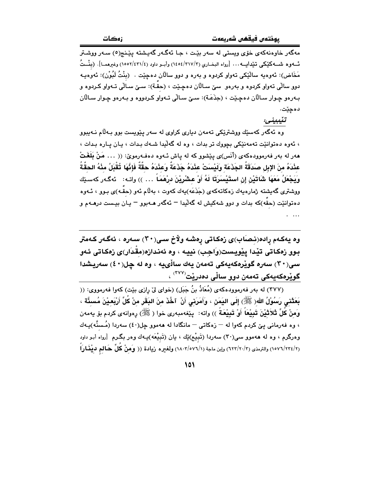مهگەر خاوەنەكەى خۆى ويستى لە سەر بێت ، جـا ئەگـەر گەيـشتە پێـنج(٥) سـەر ووشـتر ئــهوه شــهكَيْكي تنيْدايــه... [رواه البخــاري (٢١٧/٣/٣) وأبــو داود (٤/١٥٥٢/٤٣١) وغيرهمــا]. (بِنْــثُ مَخَاض): ئەوەبە سالْيٚكى تەواو كردوە و بەرە و دوو سالْان دەچيٚت . (بِنْتُ لَبُوْن): ئەوەبـە دوو سالّی تەواو کردوه و بەرەو سێ سـالآن دەچـێت ، (حقّـة): سـێ سـالّی تـەواو کـردوه و بـهرهو چـوار سـالّان دهچـێت ، (جذَعَـة): سـێ سـاڵی تـهواو کـردووه و بـهرهو چـوار سـالآن دەچێت.

تنْيبينى:

.<br>وه ئەگەر كەسێك ووشترێكى تەمەن ديارى كراوى لە سەر پێويست بوو بـﻪڵام نـﻪيبوو ، ئەوە دەتوانێت تەمەنێكى بچووك تر بدات ، وە لە گەلّيدا شـەك بـدات ، يـان يـارە بـدات ، هەر لە بەر فەرموودەكەى (أَنَس)ى پێشوو كە لە پاش ئـەوە دەفـەرموێ: (( … مَنْ بَلَغَتْ عِنْدَهُ مِنَ الإِبِلِ صَدَقَةَ الجَذَعَةِ وَلَيْسَتْ عِنْدَهُ جَذَعَةَ وَعِنْدَهُ حقَّةً فَإِنَّهَا تُقْبَلُ مئْهُ الحقَّةُ وَيَجْعَلُ مَعَهَا شَاتَيْنِ إن استَيْسَرَتَا لَهُ أَوْ عشْرِيْنَ درْهَمَاً … )) واتـه: ئەگـەر كەسـێك ووشتری گەيشتە ژمارەيەك زەكاتەكەی (جَذَعَه)يەك كەوت ، بەلّام ئەو (حقّـه)ی بـوو ، ئـەوە دهتوانێت (حقه)که بدات و دوو شهکیش له گهلیدا – ئهگهر هــهبوو – یـان بیـست درهــهم و

وه يەكـەم رادە(نـصـَاب)ى زەكـاتى رەشـە ولاخ سـى(٢٠) سـەرە ، ئەگـەر كـەمتر بوو زهکاتی تیْدا پِیْویست(وَاجِب) نییه ، وه ئەندازە(مقْدَار)ی زەکاتی ئەو سى(٣٠) سەرە گويرەكەيەكى تەمەن يەك سالْىيە ، وە لە چل(٤٠) سەريشدا گوێرەكەيەكى تەمەن دوو ساڵى دەدرێت<sup>(۳۷۷)</sup> ،

(٣٧٧) له بهر فهرموودهكهي (مُعَاذُ بنُ جَبَل) (خواي ليّ رازي بيّت) كهوا فهرمووي: (( بَعَثَني رَسُوْلُ الله( ﷺ) إِلَى اليَمَن ، وَأَمَرَني أَنْ ۚ تَخُذَ منَ البَقَرِ منْ كُلِّ أَرْبَعـيْنَ مُسئَّة ، وَمنْ كُلِّ ثَلاَثْيْنَ تَبِيْعَاً أَوْ تَبِيْعَةَ )) واته: ۖ بِيْغهمبەرى خوا ( ﷺ) رِهوانهى كردم بۆ يەمەن ، وه فەرمانى يېّ كردم كەوا لە — زەكاتى — مانگادا لە ھەموو چل(٤٠) سەردا (مُـسنَّه)پـەك وهرگرم ، وه له ههموو سی(۳۰) سهردا (تَبيْع)ێك ، يان (تَبيْعَه)پـهك وهر بگـرم [رواه أبـو داود (١/ ١٥٧٦/٢٢٤) والترمذي (٢/ ٦٢٣/٢٠/٢) وإبن ماجة (١٨٠٢/٥٧٦/١) ولغير ه زيادة (( وَمِنْ كُلِّ حَالم ديْغَارَاً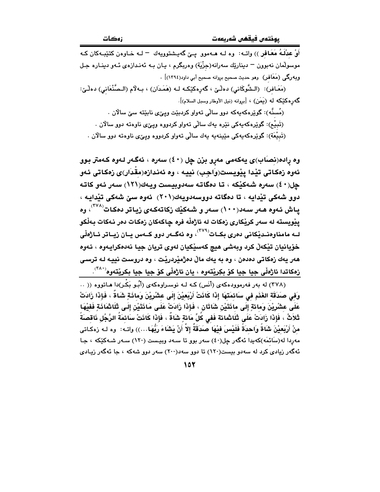أَوْ عِدْلَـهُ مَعَـافِرٍ )) واتـه: وه لـه هـهموو پـێ گهيـشتوويهك = لـه خـاوهن كتێبـهكان كـه موسولمان نەبوون – دينارێك سەرانە(جزْيَة) وەربگرم ، يـان بـه ئەنـدازەي ئـەو دينـارە جـل وبه رگی (مَعَافر) وهو حدیث صحیح بروانه صحیح أبی داود(١٣٩٤)] . (مَعَـافر): (الـشَّوكَاني) دهلْـيّ ، گەرەكێِكـه لـه (هَمَـدَان) ، بـهلَّام (الـصَّنْعَاني) دهلْـيّ:

گەرەكێكە لە (يَمَن) ، [بروانە (نيل الأوطار وسبل السلام)]. (مُسنَّه): گوێِرەکەپەکە دوڧ سالّى تەواڧ کردېێت ويےٚی نابێتە سیّ سالان . (تَبِيْم): گوێِرەكەپەكى نێرە پەك ساڵى تەواو كردووە ويے٤ى ناوەتە دوو سالان . (تَبِيْعَة): گوێرەكەيەكى مێينەيە يەك سالْي تەواو كردووە وپێى ناوەتە دوو سالان .

وه ڕاده(نِصَاب)ی یهکهمی مەړو بزن چل (٤٠) سەرە ، ئەگەر لـەوە كـەمتر بـوو ئەوە زەكاتى تێدا يێويست(وَاجب) نييە ، وە ئەندازە(مقْدَار)ى زەكاتى ئەو چل(٤٠) سەرە شەكێكە ، تا دەگاتە سەدوبيست ويەك(١٢١) سەر ئەو كاتە دوو شەكى تيدايە ، تا دەگاتە دووسەدويەك(٢٠١) ئەوە سى شەكى تيدايە ، یاش ئەوە ھەر سەد(۱۰۰) سەر و شەكێك زكاتەكەي زياتر دەكات<sup>(۳۷۸)</sup>، وە يێويسته له سەر كرێكارى زەكات لە ئاژەڵە فرە چاكەكان زەكات دەر نەكات بەڵكو لــه مامناوەنــدێکانی دەری بکــات<sup>(۳۷۹)</sup>، وه ئەگــەر دوو کــەس يــان زيــاتر ئــاژەڵ*ی* خۆيانيان تێکەڵ کرد وبەشى ھيچ کەسێکيان لەوي تريان جيا نەدەکرايەوە ، ئەوە هەر يەك زەكاتى دەدەن ، وە بە يەك مالٌ دەژميْردريْت ، وە دروست نييه لـه ترسى زمكاتدا ئاژەڵى جيا جيا كۆ بكِريْتەوە ، يان ئاژەڵى كۆ جيا جيا بكريْتەوە<sup>‹‹\*۲</sup>′.

(٣٧٨) له بهر قهرموودهکهی (أنّس) کـه لـه نوسـراوهکهی (أَبُـو بَکْـر)دا هـاتووه (( .. وَفى صَدَقَة الغَذَم فى سَائمَتهَا إِذَا كَانَتْ أَرْبَعيْنَ إِلَى عشْرِيْنَ وَمائَةٍ شَاةً ، فَإِذَا زَادَتْ عَلَى عِشْرِيْنَ وَمِائةٍ إِلَى مِائَتَيْنِ شَاتَانِ ، فَإِذَا زَادَتْ عَلَى مَائَتَيْنِ إِلَى ثَلَاثَمَائَةٍ فَفِيْهَا تَّلاَثُ ، فَإِذَا زَادَتْ عَلَى تُلَاتْمائة فَفِي كَلِّ مَائةٍ شَاةً ، فَإِذَا كَانَتْ سَائِمَةَ الرَّجُل نَاقصَةً منْ أَرْبَعيْنَ شَاةً وَاحدَةً فَلَيْسَ فيْهَا صَدَقَةً إِلاَّ أَنْ يَشَاءَ رَبُّهَا…)) واتــه: وه لــه زمكـاتى مەردا لە(سَائمَه)كەيدا ئەگەر چل(٤٠) سەر بور تا سـەد وبيـست (١٢٠) سـەر شـەكێكە ، جـا ئهگەر زیادی کرد له سەدو بیست(۱۲۰) تا دوو سەد(۲۰۰) سەر دوو شەکە ، جا ئەگەر زیادی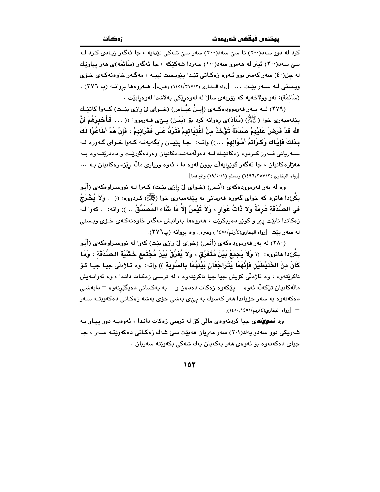کرد له دوو سهد(۲۰۰) تا سێ سهد(۳۰۰) سهر سێ شهکی تێدایه ، جا ئهگهر زیبادی کـرد لـه سیّ سهد(۳۰۰) ئیتر له ههموو سهد(۱۰۰) سهردا شهکێکه ، جا ئهگهر (سَائمَه)ی ههر پیاوێك له چل(٤٠) سهر کهمتر بوو ئـهوه زهکـاتي تێدا پێویست نیپـه ، مهگـهر خاوهنهکـهي خـۆي ويبستي لبه سبهر بيِّت … [رواه البخاري (٢١٧/٣/ ١٤٥٤) وغيره]. هـــه روهها بروانيه (پ ٣٧٦) . (سَائمَة): ئەو وولاخەيە كە زۆريەي سالٌ لە لەوەرێكى بەلاشدا لەوەرابێت .

(۳۷۹) لــه بــهر فهرموودهكــهي (إِبْـنُ عَبَّــاس) (خــواي ليّ رازي بيّــت) كــهوا كاتيّــك ينغهمبهري خوا (ﷺ) (مُعَاذ)ي رەوانە كرد بۆ (يَمَن) يــێي فــهرموو: (( … فَـأَخْبِرْهُمْ أَنَّ اللهَ قَدْ فَرَضَ عَلَيْهِمْ صَدَقَةً تُؤْخَذُ مِنْ أَغْذِيَائِهِمْ فَتُرَدُّ عَلَى فُقَرَائِهِمْ ، فَإِنْ هُمْ أطَاعُوْا لَكَ بِذَلِكَ فَإِيَّاكَ وَكَرِائِمُ أَمْوَالِهِمْ ...)) واتـه: جـا يێيـان رابگهيهنـه كـهوا خـواي گـهوره لـه ســەريانى فــەرز كــردوه زەكاتێـك لــه دەولّەمەنــدەكانيان وەردەگیرێـت و دەدرێتــەوە بــه مهژارهکانیان ، جا ئهگهر گوێرایهڵت بوون لهوه دا ، ئهوه وریاری ماله رێزدارهکانیان ب ... [رواه البخاري (١٤٩٦/٣٥٧/٣) ومسلم (١/٥٠/١) وغيرهما].

وه له بهر فهرموودهکهی (أَنَـس) (خـوای لِیّ رازی بیّـت) کـهوا لـه نووسـراوهکهی (أَبُـو بَکْر)دا هاتوه که خوای گەورە فەرمانى بە يێغەمبەرى خوا (ﷺ) کىردووه: (( .. وَلاَ يُخْرَجُ فِي الصَّدَقَةِ هَرِمَةٌ وَلاَ ذَاتُ عَوَارٍ ، وَلاَ تَيْسُ إِلاَّ مَا شَاءَ المُصَدِّقُ .. )) واته: .. كهوا لـه زهکاتدا نابێت پىر و کوێر دەريکرێت ، ھەروەھا بەرانيش مەگەر خاوەنەکـەي خـۆي ويـستى له سهر بنيت [رواه البخارى(٤/رقم/١٤٥٥) وغيره]. وه بروانه (پ٢٧٦).

(۳۸۰) له بهر فهرموودهکهی (أَنَس) (خوای ليّ رازي بيّت) کهوا له نووسـراوهکهي (أَبُـو بَكْرِ)دا ماتووه: (( وَلاَ يُجْمَعُ بَيْنَ مُتَفَرَّقَ ، وَلاَ يُفَرَّقُ بَيْنَ مُجْتَمع خَشْيَةَ الصَّدَقَة ، وَمَا كَانَ منَ الخَلَيْطَيْنِ فَإِنَّهُمَا يَتَرَاجَعَانِ بَيْنَهُمَا بِالسَّوِيَةِ ﴾) واته: ۚ وه نـٔارْهلْى جيـا جيـا كـۆ .<br>ناکرێتهوه ، وه ئاژهڵی کۆیش جیا جیا ناکرێتهوه ، له ترسـی زهکـات دانـدا ، وه ئهوانــهیش مالْهکانيان تێکەلْه ئەوە \_ يێکەوە زەکات دەدەن و\_\_ بە يەکسانى دەيگێرنەوە – دابەشىي دەكەنەۋە بە سەر خۆياندا ھەر كەسىيك بە يې<sub>ڭ</sub> بەشى خۆي بەشە زەكىاتى دەكەوپتە سـەر - [رواه البخارى(٤/دقم/١٤٥١,١٤٥٠)].

*وه نموونه ی* جیا کردنهوهی مالّی کوّ له ترسی زمکات دانـدا ، ئهوهیـه دوو پیـاو بـه شەریکی دوو سەدو پەك(۲۰۱) سەر مەريان ھەبێت سیّ شەك زەكاتی دەكەوێتـە سـەر ، جـا جياي دەكەنەوە بۆ ئەوەي ھەر يەكەيان يەك شەكى بكەوپتە سەريان .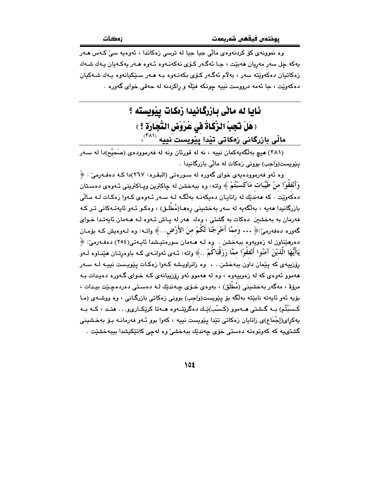وه نموونهي کوّ کردنهوهي مالّي جيا جيا له ترسي زهکاتدا ، ئهوهيه سيّ کـهس هـهر پهکه چل سهر مەريان ھەبێت ، جـا ئەگـەر کـۆی نەکەنـەوە ئـەوە ھـەر پەکـەيان پـەك شـەك زهکاتيان دهکەوێتە سەر ، بەلاّم ئەگەر کۆي بکەنـەوە بـە ھـەر سـێکيانەوە يـەك شـەکيان دهکهويّت ، جا ئهمه درووست نيپه جونکه فێڵه و راکردنه له حهقي خواي گهوره .

## ئايا له ماٽی بازرگانيدا زەكات ييويسته ؟ ( هَلْ تَجِبُ الزَّكَاةُ فِي عُرُوْضِ النَّجَارَةِ ؟ ) مالّی بازرگانی زمکاتی تیْدا پَیْویست َنییه <sup>(۴۸۱)</sup>،

(۳۸۱) هیچ بهلگهیهکمان نییه ، نه له قورئان ونه له فهرموودهی (صَحیْح)دا له سـهر یێویست(وَاجب) بوونی زهکات له مالّی بازرگانیدا .

وه ئەو فەرموودەيەي خواي گەورە لە سـورەتى (البقـرە: ٢٦٧)دا كـه دەفـەرمىّ : ﴿ وَأَنْفَقُوْا منْ طُيِّبَات مَاكُسَبْتُمْ ﴾ واته: وه ببهخشن له چاكترين ويـاكتريني ئـهوهي دهسـتان دهکەويت . که هەنديّك له زانايـان دەيكەنـه بەلگـه لـه سـەر ئـەوەي كـەوا زەكـات لـه مـالّى بازرگانيدا مەيە ، بەلگەيە لە سەر بەخشىنى رەمـا(مُطْلَق) ، وەكـو ئـەو ئايەتـەكانى تـر كـە فهرمان به بهخشین دهکات به گشتی ، وهك ههر له پاش ئـهوه لـه هـهمان ئايهتـدا خـوای گەورە دەڧەرمىٰ:﴿ ... وَمَمَّا أَخْرَجْنَا لَكُمْ منَ الأَرْض...﴾ واتــه: وە لــەوەيش كــه بۆمــان دەرھێناون له زەويەوە ببەخشن . وە لـه ھـﻪمان سورەتيـشدا ئايـەتى(٢٥٤) دەڧـﻪرمىّ: ﴿ يَاأَيُّهَا الَّذِيْنَ آمَنُوا أَنْفَقُوْا ممَّا رَزَقْنَاكُمْ …﴾ واته: ئـهى ئهوانـهى كـه باوهرتـان هێنـاوه لـهو رۆزييەى كە يێمان داون ببەخشن.. . وە زانراويشە كـەوا زەكـات يێويست نييـە لـه سـەر ههموو ئەوەى كە لە زەوپيەوە ، وە لە ھەموو ئەو رۆزپيانەى كـە خـواى گـەورە دەپـدات بـە مرۆۋ ، مەگەر بەخشىنى (مُطْلَق) ، بەوەي خىۆي چەندێك لـە دەسىتى دەردەچـێت بيـدات ، بۆيە ئەو ئايەتە نابێتە بەلگە بۆ يێويست(وَاجب) بوونى زەكاتى بازرگانى ، وە ووشـەي (مَـا کَـسَبْتُم) بــه گــشتی هــهموو (کَـسْب)ێِـك دهگرێتــهوه هــهتا کرێِکــاریو. . . هتــد ، کــه بــه یهکڕای(إجْمَاع)ی زانایان زەکاتی تێدا پێویست نییه ، کەوا بوو ئـەو فەرمانــە بـۆ بەخـشىينى گشتىيە كە كەوتوەتە دەستى خۆي چەندێك ببەخشى٘ وە لەچى كاتێكيشدا بيبەخشێت .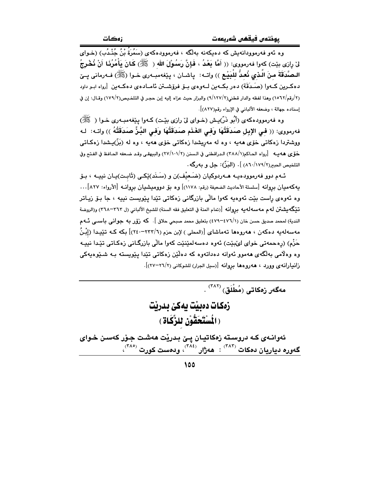.<br>وه پُهو فهرموودانهش که دمیکهنه بهلُگه ، فهرموودهکهی (سَمُرَةٌ بْنُ جُنْبِک) (خوای لِىٰٓ رازِي بِيّت) كهوا فهرمووي: (( أَمَّا بَعْدُ ، فَإِنَّ رَسُوْلَ الله ( ﷺ) كَانَ بَأْمُرُنَا أَنْ نُخْرِجُ الـصَّدَقَةَ منَ الَّـذي نُعـدُّ للْدَيْـمِ )) واتــه: ياشـان ، يێغهمبـهري خـوا (ﷺ) فـهرماني يــێ دهکرین کبهوا (صَدَقَة) دهر بکبهن لبهوهی بیو فروشتن ئامیادهی دهکبهن [رواه ابیو داود (٢/رقم/١٥٦٢) وهذا لفظه والدار قطني(٢/١٢٧/٢) والبزار حيث عزاه إليه إبن حجر في التلخيص(٢/١٧٩) وقـال: إن في إسناده جهالة ، وضعفه الألباني في الإرواء رقم(٨٢٧)].

وه فهرموودهکهي (أَبُو ذَرّ)يش (خـواي ليّ رازي بيّـت) کـهوا پـێغهمبـهري خـوا ( ﷺ) فهرمووي: (( في الإبل صَدَقَتُهَا وَفي الغَذَم صَدَقَتُهَا وَفي الدَّذِّ صَدَقَتُهُ )) واتـه: لـه ووشتردا زەكاتى خۆي مەيە ، وە لە مەريشدا زەكاتى خۆي مەيە ، وە لە (بَزّ)پىشدا زەكـاتى .<br>حَوِّي هه بِــه [رواه الحاكم(١/٢٨٨) الـدراقطني في الـسنن (٢٧/١٠١/٢) والبيهقي وقـد ضـعفه الحـافظ في الفـتح وفي التلخيص الجبر(١٧٩/١٧٩/٢) ] . (البَرِّ): جل و يه رگه .

ئـهم دوو فهرموودهيـه هــهردوكيان (خَىـعيْف)ن و (سَـنَد)ێكـى (ثَابـت)يـان نييـه ، بـۆ يهكهميان بروانه [سلسلة الأحاديث الضعيفة (رقم: ١١٧٨)] وه بق دووميشيان بروانـه [الأرواء: ٨٢٧]… وه ئەوەي راست بێت ئەوەبە كەوا ماڵى بازرگانى زەكاتى تێدا پێویست نىيە ، جا بـۆ زيـاتر تنكِّكه يشتن له م مه سه له يه بروانه [(تمام المنة في التعليق فقه السنة) للشيخ الألباني (ل ٣٦٢–٣٦٨) و(الروضة الندية) لمحمد صديق حسن خان (٤٧٦/١-٤٧٩) بتعليق محمد صبحي حلاق ]. كه رْوِّر به جواني باســي ئــه م مەسەلەيە دەكەن ، ھەروەھا تەماشاي [(المحلى ) لإبن حزم (٢٢٢/٦-٢٤٠)] بكه كـه تێيدا (إِبْنُ حَزْمِ) (رەحمەتى خواي لىُبيِّت) ئەوە دەسەلمێنێت كەوا مالّى بازرگـانى زەكـاتى تێدا نىيـە وه وهلامي پهلگهي مهموو ئهوانه دهداتهوه که دهلٽن زمکاتي تٽدا پٽويسته په شيٽوهيهکي زانیارانهی وورد ، ههروهها بروانه [رسیل الجرار) للشوکانی (۲/۲۲–۲۲)].

مەگەر زەكاتى (مُطْلَق) <sup>(۳۸۲)</sup> .

زەكات دەبيت يەكىٰ بدريت (الْسْتَحَقُّوْن للزَّكَاة )

ئەوانـەي كـه دروسـته زەكاتيـان يـێ بـدرێت ھەشـت جـۆر كەسـن خـواي گەورە دياريان دەكات <sup>(۳۸۳)</sup> : ھەژار <sup>(۳۸٤)</sup>، ودەست كورت <sup>(۳۸٥)</sup>،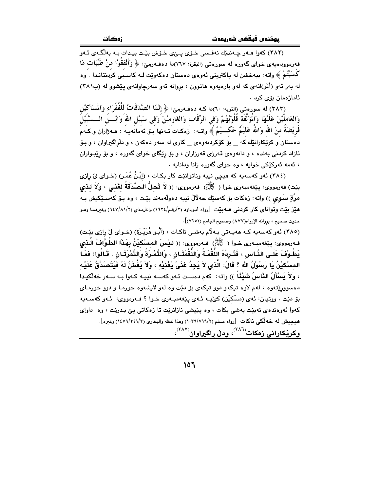(۳۸۲) کەوا ھـەر چـەندێك نەڧـسى خـۆى يــێى خـۆش بێـت بيـدات بـه بەلگـەى ئـەو فه رمووده یه ی خوای گهوره له سورهتی (البقرة: ۲٦۷)دا دهفه رمیّ: ﴿ وَأَنْفَقُوْا منْ طِّيِّبَات مَا كَسَبْتُمْ ﴾ واته: ببهخشن له پاكتريني ئەوەي دەستان دەكەوپت لـه كاسبي كردنتانـدا . وه له بهر ئهو (أَثَر)انهي كه لهو بارهيهوه هاتوون ، بروانه ئهو سهرجاوانهي بيِّشوو له (پ٢٨١) ئاماژەمان بۆي كرد .

(٣٨٣) له سورهتي (التوبه: ٦٠)دا كـه دهفـهرميّ: ﴿ إِنَّمَا الصَّدَقَاتُ لِلْفُقَرَاءِ وَالْمَسَاكِيْنِ وَالعَامِلْيْنَ عَلَيْهَا وَالْمَوَّلَّفَة قُلُوْبُهُمْ وَفي الرِّقَاب وَالغَارميْنَ وَفي سَبيْلِ الله وَابْـــنَ الـــسَّبَيْلَ فَرِيْضَةً منَ الله وَاللهُ عَليْمٌ حَكَـــيْمٌ ﴾ واتــه: ۚ زهكـاتَ تَــهنها بَــق ئـهَمانَهيـهُ : هــه ژاران و كـهم .<br>دهستان و کرێِکارانێك که \_ بۆ کۆکردنهوهی \_ کاری له سهر دهکهن ، و دلراگ<del>ر</del>اوان ، و بـۆ ئازاد کردنی بهنده ، و دانهوهی قهرزی قهرزاران ، و بۆ رێگای خوای گهوره ، و بۆ رێبـواران ، ئەمە ئەركتكى خواپە ، وە خواي گەورە زانا وداناپە .

(٣٨٤) ئەو كەسەپە كە ھېچى نېيە وناتوانێت كار بكـات ، (إِبْنُ عُمَـرٍ) (خـواي لِيِّ رازِي بيّت) فەرمووى: يێغەمبەرى خوا(ﷺ) فەرمووى: (( لاَ تَحلُّ الـصَّدَقَةُ لغَنـى ، وَلاَ لـذى مرَّةِ سَوِي )) واته: زەكات بۆ كەسێك چەلالْ نىيە دەولەمەند بێت ، وە بـۆ كەسـێكيش بـە هنِّز بنِّت وتواناي كار كردني هــهبنِّت [رواه أبـوداود (٢/رقـم/١٦٣٤) والترمـذي (٦٤٧/٨١/٢) وغيرهمـا وهـو حديث صحيح ، بروانه الإرواء(٨٧٧) وصحيح الجامع (٧٢٥١)].

(٣٨٥) ئەو كەسەيە كـه ھەيـەتى بـەلاّم بەشـى ناكـات ، (أَبُـو هُرَيْـرَة) (خـواى لىْ رِازى بيْـت) فـهرمووى: يێغهمبـهرى خـوا ( ﷺ) فـهرمووى: (( لَـيْسَ المسْكِيْنُ بِهَذَا الطَّوَّافُ الَّـدْيِ بَطُوْفُ عَلَـى الدَّـاسِ ، فَتَـرِدُهُ اللَّقْمَـةُ وَاللَّقْمَتَـانِ ، وَالتَّمْـرَةُ وَالتَّمْرَتَـانِ . قَـالُوا: فَمَـا المسْكيْنُ يَا رَسُوْلُ الله ؟ قَالَ: الَّذى لاَ يَجِدُ عَنَىَّ يُغْنِيْه ، وَلاَ يُفْطَنُ لَهُ فَيَتَصَدَّقُ عَلَيْه ، وَلاَ يَسْأَلُ النَّاسُ شَيْئًاً )) واته: ۖ كهم دهست ئـهو كهسـه نييـه كـهوا بـه سـهر خهلْكيـدا دهسوورێتهوه ، لهم لاوه تیکهو دوو تیکهی بۆ دێت وه لهو لایشهوه خورما و دوو خورمای بۆ دێت . ووټيان: ئەي (مسْكيْن) كېيد ئـهي يێغەمبـەرى خـوا ؟ فـهرمووي: ئـهو كەسـەيە کهوا ئەوەندەي نەبێت بەشى بکات ، وە يێيشى نازانرێت تا زەکاتى يێ بـدرێت ، وە داواي هيچيش له خهڵكي ناكات [رواه مسلم (١٠٣٩/٧١٩/٢) وهذا لفظه والبخاري (١٤٧٩/٢٤١/٢) وغيره]. وکرێِکارائی زِهکات<sup>(۳۸٦)</sup>، ودلّ راگیراوان<sup>(۳۸۷)</sup>،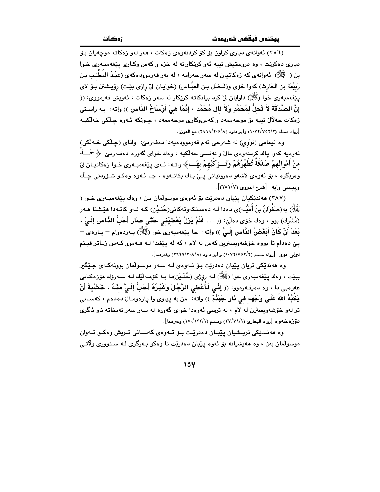(٣٨٦) ئەوانەي دېارى كراون بۆ كۆ كردنەوەي زەكات ، ھەر لەو زەكاتە موجەيان بىۆ دياري دهکريت ، وه دروستيش نيپه ئهو کريکارانه له خزم و کهس وکـاري بينفهمبـهري خـوا بن ( ﷺ) نَهوانه ي كه زهكاتيان له سهر حهرامه ، له بهر فهرموودهكهي (عَبْدُ المَطْلِبِ بنِ رَبِيْعَة بنِ الحَارِثِ) كهوا خوّي و(فَـضَل بـن العَبَّـاس) (خوابـان ليّ رازي بيّـت) رؤيـشتن بـوّ لاي يێغەمبەرى خوا (ﷺ) داوايان ليٌ كرد بيانكاته كرێكار له سەر زەكات ، ئەويش فەرمووي: (( إِنَّ الصَّدَقَةَ لاَ تَحلُّ لمُحَمَّدِ ولاَ لآل مُحَمَّد ، إنَّمَا هيَ أَوْسَاحُ الذَّاس )) واته: بـه راسـتي .<br>زەكات حەلال نىيە بۆ موجەممەد و كەس وكارى موجەممەد ، چونكە ئـەوە چىلكى خەلكيـە [رواه مسلم (٢/٧٥٢/٧٥٢) وأبو داود (٨/٢٠٥/٨) مع العون].

وه ئيمامي (نَوَوِي) له شەرحى ئەم فەرموودەپەدا دەفەرمى: واتاي (حِـلْكِي خـەلْكِي) ئەوەيە كەوا پاك كردنەوەي مالٌ و نەفسىي خەلكيە ، وەك خواي گەورە دەفـەرمىؒ: ﴿ خُــــذٌ منْ أَمْوَالَهِمْ صَدَقَةَ تُطَهِّرُهُمْ وَتُسرَكِّيهِمْ بِهَسا﴾ واتـه: ئـهى بِيْغهمبـهري خـوا زهكاتيـان ليّ .<br>وهربگره ، بۆ ئەوەي لاشەو دەرونيانى يـيّ بـاك بكاتـەوە . جـا ئـەوە وەكـو شـۆردنى چـلّك وبيبسي وإمه [شرح النووي (٢٥١/٧)].

(٣٨٧) ههنديكيان پييان دهدريت بو ئهوهي موسولمان بن ، وهك پيغهمبهري خـوا ( ر<br>ﷺ) به(صَفْوانُ بنُ أُمَيَّـه)ى دەدا لـه دەسـتكەوتەكانى(حُذَيْن) كـه لـهو كاتـهدا هێـشتا هـهر (مُشْرِك) بوق ، وهك خوّى دهلّيّ: (( … فَلَمْ يَرْلُ يُعْطيْنِي حَتَّى صَارَ أَحَبُّ النَّاسِ إِلَيَّ ، بَعْدَ أَنْ كَانَ أَبْغَضُ النَّاسِ إِلَـىَّ )) واته: جا يێغهمبهري خوا (ﷺ) بـهردهوام – يـاره $\varepsilon$  – يئ دهدام تا بووه خۆشەويسترين كەس لە لام ، كە لە يێشدا لـه ھـﻪموو كـﻪس زيـاتر قيـنم لوټي يوو [رواه مسلم (٢/٧٥٢/٢) و أيو داوډ (٨/٢٠٨/٨) وغيرهما].

وه ههندٽِکي تريان پٽِيان دهدرٽت ٻو ئووي لـه سـهر موسـولمان بوونهکـهي جِٽِگير ببێت ، وهك پێغەمبەرى خوا (ﷺ) لـه رۆژى (حُذَيْن)دا بـه كۆمـەڵێك لـه سـەرۆك هۆزەكـانى عەرەبى دا › وە دەيفەرموو: (( إِنِّي لَأُعْطِي الرَّجُلَ وَغَيْرُهُ أَحَتُّ إِلَيَّ مِنْهُ ، خَشْيَةَ أَنْ يَكُبُّهُ اللهُ عَلَى وَجْهِه في نَارٍ جَهَنَّمْ )) واته: من به پياوي وا پارهومـال دهدهم ، كهسـاني تر لهو خۆشەويسترن له لام ، له ترسی ئەوەدا خوای گەورە له سەر سەر نەپخاتە ناو ئاگرى دَوْزُهِ خَهُوهِ [رواه البخاري (٧/٧٩/١) ومسلم (١/١٣٢/١) وغيرهما].

وه هەنىدىكى ترىيشيان يېيان دەدرىيت يېق ئېھوەي كەسپانى تېرىش وەكبو ئېھوان موسولْمان بين ، وه هەيشيانە بۆ ئەوە يێيان دەدرێت تا وەكو بـەرگرى لـە سـنوورى ولاتـى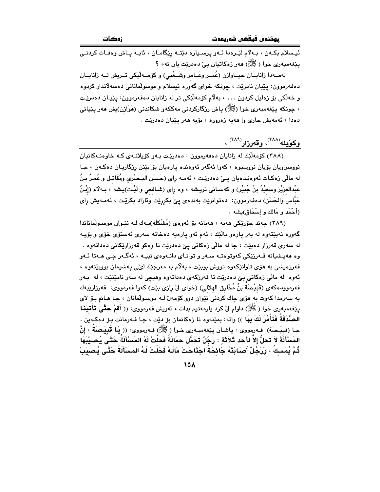ئيسلام بكـهن ، بـهلاّم لێـرهدا ئـهو پرسـڀاره دێتـه رێگامـان ، ئاڀـه پـاش وهفـات كردنـي یێغهمبهری خوا (ﷺ) ههر زهکاتیان یے دهدریت یان نهء ؟

لهمــهدا زانايــان جيــاوازن (عُمَــر وعَــامر وشَــعْبي) و كۆمــهلْيكي تــريش لــه زانايــان دهفهرموون: پێپان نادرێت ، چونکه خوای گهوره ئیسلام و موسولمانانی دهسهلاتدار کردوه و خەلكى بۆ زەليل كردون . . . ، بەلام كۆمەلێكى تر لە زانايان دەڧەرموون: يێپـان دەدرێـت ، چونکه پێغەمبەرى خوا (ﷺ) پاش رزگارکردنى مەکكەو شکاندنى (مَوَازن)يش مەر پێپانى دهدا ، ئەمەيش جارى وا ھەيە زەرورە ، بۆيە ھەر يێيان دەدرێت .

### وكۆيلە<sup>(۳۸۸)</sup>، وقەرزار<sup>(۳۸۹)</sup> ،

(٣٨٨) کۆمەلىك لە زانايان دەڧەرموون : دەدريت بەو كۆيلانەي كـه خاوەنـەكانيان نووسراويان بۆيان نووسيوه ، کەوا ئەگەر ئەوەندە يارەيان بۆ بێنن رزگاريـان دەکـەن ، جـا له مالّی زەكـات ئەوەنـدەيان يــیٰ دەدریّـت ، ئەمـە رای (حَـسَن البَـصْری ومُقَاتـل و عُمَـرُ بـنُ عَبْدالعزيْز وسَعيْدُ بنُ جُبَيْر) و كهسـانى تريـشه ، وه راى (شَـافعى و لَيْـث)يـشه ، بـهلام (إِبْـنُ عَبَّاس والحَسَن) دەفەرموون: دەتوانرێت بەندەی يى بكربێت وئازاد بكرێت ، ئەمـەيش رای (أَحْمَد و مَالك و إِسْحَاق)يِشه .

(۳۸۹) جەند جۆرپكى ھەيە ، ھەيانە بۆ ئەوەي (مُشْكلَه)يـەك لـە نێـوان موسـولْماناندا گەورە نەبێتەوە لە بەر يارەو ماڵێك ، ئەم ئەو يارەيە دەخاتە سەرى ئەستۆى خۆى و بۆيـە له سەرى قەرزار دەبێت ، جا لە مالّى زەكاتى يىّ دەدرێت تا وەكو قەرزارێكانى دەداتەوە . وه هەيشيانە قـەرزێكى كەوتوەتــە سـەر و توانــاي دانــەوەي نييــە ، ئەگــەر چـى ھــەتا ئــەو قەرزەيشى بە ھۆي تاوانٽِكەوە تووش بوبێت ، بەلام بە مەرجێك لێي پەشپمان بووبێتەوە ، ئەوە لە مالّى زەكاتى پىّ دەدرێت تا قەرزكەي دەداتەوە وھيچى لە سەر نامێنێت ، لە بـەر فەرموودەكەي (قَبِيْصَةَ بنُ مُخَارِق الهلالى) (خواي ليْ رازى بيّت) كەوا فەرمووى: قەرزارييەك به سهرمدا کهوت به هوّى چاك كردنى نيّوان دوو كوّمهلّ لـه موسـولّمانان ، جـا هـامّ بـوّ لاى يێغەمبەرى خوا (ﷺ) داوام ليّ كرد يارمەتيم بدات ، ئەويش فەرمووى: (( أَقمْ حَتَّى تَأْتِيَنَـا الصَّدَقَةُ فَذَأْمُرَ لَكَ بِهَا ﴾) واته: بمِيْنهوه تا زهكاتمان بِرْ ديْت ، جـا فـهرمانت بِرْ دهكـهين . جـا (قَبِيْـمـَة) ۖ فـه(مووى : پاشـان پِيْغهمبـه(ى خـوا ( ﷺ) فـه(مووى: (( يَـا قَبِيْـصَةُ ، إِنَّ المَسْأَلَةَ لاَ تَحلُّ إلاّ لأَحَد ثَلاَثَةٍ : رَجُلٌ تَحَمَّلَ حَمَالَةَ فَحَلْتْ لَهُ المَسْأَلَةَ حَتَّى يُصيْبَهَا ثُمَّ يُمْسكُ ، وَرَجُلٌ أَصَابَتْهُ جَائِحَةٌ اجْتَاحَتْ مَالَهُ فَحَلَّتْ لَهُ المَسْأَلَةُ حَتَّى يُصيْبَ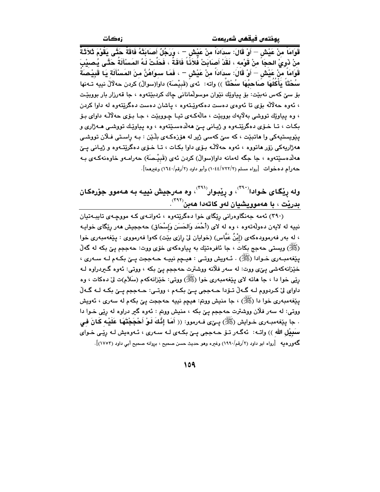قَوَامَاً منْ عَيْش — أَوْ قَالَ: سدَادَاً منْ عَيْش — ، وَرَجُلٌ أَصَابَتْهُ فَاقَةً حَتَّى يَقُوْمَ ثَلاَثَةً منْ ذَوىْ الحجَا ُ منْ قَوْمه ، لَقَدْ أَصَابَتْ فُلاَئَـا فَاقَةٌ ، فَحَلَّتْ لَـهُ المَسْأَلَةُ حَتَّـى يُصيبَ قَوَامَاً مِنْ عَيْش — أَوْ قَالَ: سدَادَاً منْ عَيْش — ، فَمَا سـوَاهُنَّ منَ المَسْأَلَة يَا قَبِيْصَةُ سُحْتَاً يَأْكَلُهَا صَاحبُهَا سُحْتًاً )) واته: ئهي (قَبيْصَة) داوا(سوالْ) كردن حهلالْ نبيه تـهنها بۆ سے که مس نهبيّت: بۆ يياويّك نێوان موسولمانانى چاك كردبيّتهوه ، جا قهرزار بار بووبيّت ، ئەوە حەلالە بۆى تا ئەوەي دەست دەكەوپىتەوە ، پاشان دەست دەگرېتەوە لە داوا كردن ، وه پياوێك تووشي بهلايهك بووبێت ، مالّهكهي تيـا چـووبێت ، جـا بـۆي حهلاّلـّه داواي بـۆ بکات ، تـا خـۆی دهگرێتـهوه و ژيـانى يــێ ههڵدهسـێتهوه ، وه يياوێـك تووشـى هـهژارى و پٽويستيهکي وا ماتبٽت ، که سيّ کهسي ژير له مۆزهکـهي بِلَـٽِن : بـه راسـتي فـلان تووشـي ههژاريهکي زۆر هاتووه ، ئەوه حەلاَلْـه بـۆی داوا بکـات ، تـا خـۆی دەگرێتـەوه و ژيـانى يــێ مەلّدەسێتەوە ، جا جگە لەمانە داوا(سوالٌ) كردن ئەى (قَبيْـصَة) حەرامـەو خاوەنەكـەى بـە حه رام ده خوات [رواه مسلم (١٠٤٤/٧٢٢/٢) وأبو داود (٢/رقم/١٦٤٠) وغيرهما].

### وله رِیْکَای خوادا<sup>(۳۹۰)</sup>، و رِیْبوار<sup>(۳۹۱)</sup>، وه مەرجیش نییـه بـه هـهموو جوّرهکان بدريْت ، با <u>ھەمووي</u>شيان لەو كاتەدا ھەبن<sup>(۳۹۲</sup>).

(۳۹۰) ئەمە جەنگاوەرانى رێگاى خوا دەگرێتەوە ، ئەوانىەي كـە مووچـەي تايبـەتيان نييه له لايهن دهولهتهوه ، وه له لاى (أَحْمَد وَالحَسَن وَإِسْحَاق) حهججيش ههر ريْگاى خوايـه ، له بهر فهرموودهکهی (إِبْنُ عَبَّاس) (خوایان لیّ رازی بێت) کهوا فهرمووی : پێغهمبهری خوا رَﷺ) ویستی حهجج بکات ، جا ئافرەتێك به پیاوەکەی خۆی ووت: حهججم یێ بکه له گەلّ پێغهمبـهري خـوادا (ﷺ) . ئـهويش ووتـي : هيـچم نييـه حـهججت پـێ بکـهم لـه سـهري ، خێزانهکهشي يئي ووت: له سهر فلانه ووشترت حهججم يئ بکه ، ووتي: ئهوه گيردراوه لـه رێي خوا دا ، جا هاته لاي پێغهمبهري خوا (ﷺ) ووتي: خێزانهکهم (سَلاَم)ت ليّ دهکات ، وه داوای لیٰ کردووم لـه گـهڵ تـۆدا حـهججی پـێ بکـهم ، ووتـی: حـهججم پـێ بکـه لـه گـهڵ يێغەمبەرى خوا دا (ﷺ) ، جا منيش ووتم: ھيڃم نييە حەججت پێ بكەم لە سەرى ، ئەويش ووتي: له سهر فلان ووشترت حهججم ييّ بكه ، منيش ووتم : ئهوه گير دراوه له رئِي خـوا دا . جا پێغهمبـهرى خـوايش (ﷺ) پـِێى فـهرموو: (( أَهَا إِنَّكَ لَـوْ أَحْجَجْتَهَا عَلَيْهِ كَانَ فِي سَبِيْلِ الله )) واتـه: ئەگـەر تـۆ ھـەججى يـێ بكـەي لـه سـەرى ، ئـەوەيش لـه رێـى خـواي گەورەيە [رواه ابو داود (٢/رقم/١٩٩٠) وغيره وهو حديث حسن صحيح ، بروانه صحيح أبي داود (١٧٥٣)].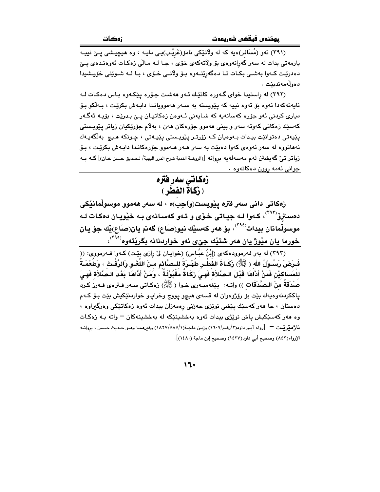.<br>(۳۹۱) ئەو (مُسَافر)ەيە كە لە ولاتێكى نامۆ(غَریْب)ىـى دايـە ، وە ھىچىشى يـێ نىيـە پارمەتى بدات لە سەر گەرانەوەي بۆ ولاتەكەي خۆي ، جـا لــە مـالّى زەكـات ئەوەنـدەي پــێ دەدرێت كـﻪوا بەشـي بكـات تــا دەگەرێتـﻪوە بـۆ ولاتـي خـۆي ، بـا لــﻪ شـوێنى خۆيـشيدا دەوللەمەندىئت .

(٣٩٢) له راستيدا خواي گـهوره كاتيّك ئـهو ههشـت جـوّره ييكـهوه بـاس دهكـات لـه ئايەتەكەدا ئەوە بۆ ئەوە نييە كە پێويستە بە سـەر ھەموويانـدا دابـەش بكرێت ، بـەڵكو بـۆ دباري کردني ئەو جۆرە کەسانەپە کە شـابەنى ئـەوەن زەکاتيـان يـێ بـدرێت ، بۆيـە ئەگـەر کەسێك زەكاتى كەوتە سەر و بينى ھەموو جۆرەكان ھەن ، بەلام جۆرێكيان زياتر يێويستى يٽيەتى دەتوانٽت بيدات بـەوەيان كـە زۆرتـر يێويـستى يێيـەتى ، چـونكە ھـيچ بەلگەيـەك نههاتووه له سهر ئهوهي كهوا دهېيّت به سهر هـهر هـهموو جۆرەكانـدا دابـهش بكريّـت ، بـۆ رْياتر تيّ گهيشتن له م مهسهلهيه بروانه [(الروضة الندبة شرح الدرر البهية/ لـصديق حسن خـان)] كـه بـه جواني ئەمە روون دەكاتەوە .

#### زەكاتى سەر ڧترە (زَكَاةَ الفَطَرِ)

زهکاتی دانی سەر فتره يێويست(وَاجِب)ه ، له سەر هەموو موسوڵمانێکی دهستروٌ<sup>(۲۹۲)</sup>، کـهوا لـه جيـاتي خـوّي و ئـهو کهسـانهي بـه خێويـان دهکـات لـه موسولْمانان بيدات<sup>(٣٩٤)</sup>، بۆ ھەر كەسێك نيو(صَاع) گەنم يان(صَاع)ێك جۆ يـان خورما يان مێوژ يان هەر شتێك جێ*ى* ئەو خواردنانه بگرێتەوه<sup>(۴۹۰</sup>)،

(۳۹۳) له بهر فهرموودهکهی (إِبْنُ عَبَّاس) (خوایان لیٌ رِازی بِیِّت) کـهوا فـهرمووی: ((ِ فَـرَضَ رَسُـوْلُ الله ( ﷺ) زَكَـاةَ الفَطْـرِ طُهْـرَةً للـصَّائم مـنَ اللَّغْـو وَالرَّفْـث ، وَطُعْمَـةً للْمَسَاكيْنِ فَمَنْ أَدَّاهَا قَدْلَ الصَّلاَة فَهِيَ زَكَاةٌ مَقْبُوْلَةٌ ، وَمَنْ أَدَّاهَا بَعْدَ الصَّلاَة فَهيَ صَدَقَةً مِنَ الـصَّدَقَاتِ )) واتــه: بِيّغهمبـهرى خـوا ( ﷺ) زهكـاتى سـهر فـترهى فـهرز كـرد ياککردنهوهيهك بێت بۆ رۆژوهوان له قسهى هيچو يووچ وخراپو خواردنێکيش بێت بۆ کـهم دهستان ، جا هەر كەسێك يێشى نوێژى جەژنى رەمەزان بيدات ئەوە زەكاتێكى وەرگیراوە ، وه ههر کهسێکیش پاش نوێژی بیدات ئهوه بهخشینێکه له بهخشینهکان – واته بـه زهکـات ناژمێرێت ー [رواه أبـو داود(۲/رقـم/۱٦٠٩) وإبـن ماجـة(۱/٥٨٥/١٩٢٧) وغيرهمـا وهـو حـديث حـسن ، بروانــه الإرواء(٨٤٣) وصحيح أبي داود(١٤٢٧) وصحيح إبن ماجة (١٤٨٠)].

 $11.$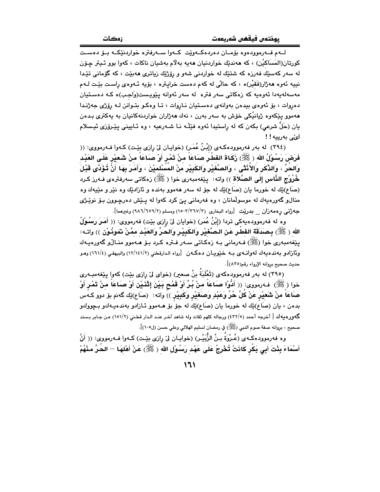لــهم فــهرموودهوه بۆمــان دەردەكــهوێت كــهوا ســهرفتره خواردنێكــه بــۆ دەســت كورتان(المَسَاكيْن) ، كه مەندێك خواردنيان مەيە بەلاّم بەشيان ناكات ، كەوا بوو ئـيتر چـۆن له سهر کهسێك فهرزه که شتێك له خواردنی شهو و رِۆژێِك زياتری ههبێت ، که گۆمانی تێدا نيپه ئەوە ھەژار(فَقَيْر)ە ، كە حالّى لە كەم دەست خرايترە ، بۆيە ئـەوەي راست بێت لـەم مەسەلەيەدا ئەوەيە كە زەكاتى سەر فترە لە سەر ئەوانە پێويىست(وَاجب)ە كـە دەسـتيان دهږوات ، بۆ ئەوەي بيدەن بەوانەي دەستيان نـاروات ، تـا وەكـو بتـوانن لـه رۆژى جەژنـدا هەموو يێِكەوە ژيانيَّكى خۆش بە سەر بەرن ، نەك ھەژاران خواردنەكانيان بە يەكترى بىدەن يان (حَلَّ شرعي) بكهن كه له راستيدا ئهوه فێڵـه نـا شـهرعيه ، وه ئـاييني يێـرۆزي ئيـسلام لى، بەرىيە!!

(٣٩٤) له بهر فهرموودهكهي (إِبْنُ عُمَرٍ) (خوايـان ليّ رازي بيّـت) كـهوا فـهرمووي: (( فَرَضَ رَسُوْلُ الله ( ﷺ) زَكَاةَ الفَطْرِ صَبَاعَاً منْ تَمْرِ أَوْ صَبَاعَاً منْ شَعِيْرِ عَلَـى العَبْد وَالحُرِّ ، وَالذَّكَرِ وَالأُنْثَى ، وَالصَّغَيْرِ وَالكَبِيْرِ مِنْ المُسْلِمِيْنَ ، وَأَمَرَ بِهَا أَنَّ تُؤَدَّى قَبْلَ خُرُوج الذَّاس إِلَى الصَّلاَة )) واته: يێغەمبەرى خوا (ﷺ) زەكاتى سەرفترەي فـەرز كـرد (صَاعِ)ێك له خورما يان (صَاعِ)ێك له جۆ له سهر ههموو بهنده و ئازادێك وه نێر و مێپهك وه منالو گەورەيەك لە موسولْمانان ، وە فەرمانى پىّ كرد كەوا لە پىيش دەرچىوون بىق نويْـژى جه ژنمی رهمه زان \_ بدرێت [رواه البخاری (١٥٠٣/٣٦٧/٣) ومسلم (٩/٦/٦٧٩/٢) وغیرهما].

وه له فهرموودهيهكي تردا (إِبْنُ عُمَرٍ) (خوايان ليّ رِازي بيّت) فهرمووي: (( أَهَـرَ رَسُـوُلُ الله ( ﷺ) بِصَدَقَة الفطر عَنْ الصَّغيْرِ وَالكَبِيْرِ وَالحَرِّ وَالعَبْد ممَّنْ تَموذُوْن )) واتـه: يێغەمبەرى خوا (ﷺ) فـﻪرمانى بـﻪ زەكـاتى سـﻪر فـترە كـرد بـۆ ھـﻪموو منـالّو گەورەپـﻪك وباً زادو به ندهیه ك له وانسهى بـه خيويـان دهكـهن [رواه الدارقطني (١٢/١٤١/٢) والبيهقـي (١٦١/٤) وهـو حديث صحيح بروانه الإرواء رقم(٨٣٥)].

(٣٩٥) له بهر فهرموودهكهي (ثَعْلَبَةَ بنُ صعيرٍ) (خواي ليِّ رازي بيِّت) كهوا ييِّغهمبـهري خوا ( ﷺ) فـه(مووى: (( أَدُّوْا صَنَاعَاً منْ بُرِّ أَوْ قَمْحٍ بَيْنَ إِتْذَيْنِ أَوْ صَنَاعَاً منْ تَمْر أَوْ صَاعَاً مِنْ شَعِيْرٍ عَنْ كُلِّ حُرٍّ وَعَبْدٍ وَصَغِيْرٍ وَكَبِيْرٍ )) واته: (صَاع)ێِك گەنم بۆ دوو كـهس بدهن ، يان (صَاع)ێك له خورما يان (صَاع)ێك له جۆ بۆ ھـهموو ئــازادو بهندهيـهكو بـڃووكو گەورەپەك [ أخرجه أحمد (٤٣٢/٥) ورجاله كلهم ثقات وله شاهد آخر عند الدار قطني (١٥١/٢) عن جابر بسند صحيح ، بروانه صفة صوم النبي (ﷺ) في رمضان لسليم الهلالي وعلي حسن (ل١٠٥)].

وه فەرموودەكـەي (عُـرْوَةُ بـنُ الزُّبَيْـر) (خوايـان ليّ رازى بێت) كـەوا فـەرمووى: (( أَنَّ أَسْمَاءَ بِئْتَ أَبِي بَكْرٍ كَانَتْ تُخْرِجُ عَلَى عَهْد رَسُوْلِ الله ( ﷺ) عَنْ أَهْلهَا — الحَرِّ مَذْهُمْ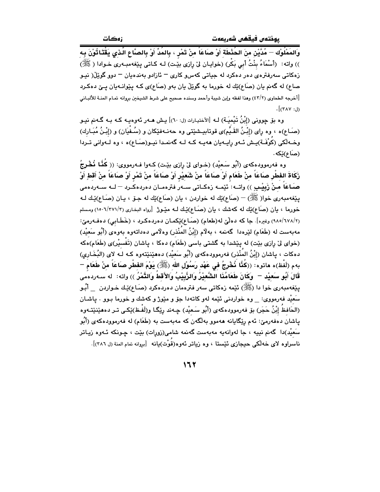وَالمَمْلُوْك — مُدَّيْنِ منَ الحُذْطَة أَوْ صـَاعَاً منْ تَمْرٍ ، بِالمُدِّ أَوْ بِالصَّاعِ الَّـذِي يَقْتَـاثُوْنَ بِـه )) واته: (أَسْمَاءُ بِنْتُ أَبِي بَكْرٍ) (خوايـان ليّ رِازِي بِيِّت) لـه كـاتي پِيّغهمبـهري خـوادا ( ﷺ) زهکاتی سهرفترهی دهر دهکرد له جیاتی کهس و کاری – ئازادو بهندهبان – دوو گوێڵ( نیـو صاع) له گەنم يان (صَاع)ێك له خورما به گوێڵ يان بەو (صَاع)ى كـه پێوانـهيان يـێ دەكـرد .<br>[أخرجه الطحاوي (٤٣/٢) وهذا لفظه وإبن شيبة وأحمد وسنده صحيح على شرط الشيخين بروانه تمـام المنــة للألبــاني  $\cdot$  $(x \wedge y : b)$ 

وه بۆ چوونى (إِبْنُ تَيْميَـة) لـه [الأختيـارات (ل: ٦٠)] يـش هــهر ئـهوهيـه كـه بـه گـهنم نيـو (صَـاع)ه ، وه راي (إِبْـنُ القَـبِّم)ي قوتابيـشێتي وه حهنـهفێِكان و (سُـفْيَان) و (إِبْـنُ مُبَـارِك) وخـه لکي (کُونُفَـة)يـش ئـهو رايـهيان ههيـه کـه لـه گهنمـدا نيـو(صَـاع)ه ، وه لـهواني تـردا (صَاع)ٽکه .

وه فهرموودهکهي (أَبُو سَعيْد) (خـواي ليّ رازي بيّـت) کـهوا فـهرمووي: (( كُنَّـا نُـهْرِجُ زَكَاةَ الفِطْرِ صَاعَاً مِنْ طَعَام أَوْ صَاعَاً مِنْ شَعِيْر أَوْ صَاعَاً مِنْ تَمْر أَوْ صَاعَاً مِنْ أقطِ أَوْ صَـاعَاً منْ زَبِيْـبِي )) واتــه: ئێمــه زەكــاتى ســهر فترەمــان دەردەكــرد – لــه ســهردەمى يێغەمبەرى خوا( ﷺ) – (صَاع)ێِك له خواردن ، يان (صَاع)ێِك له جـۆ ، يـان (صَـاع)ێِك لـه خورما ، بان (صَاع)يِّك له كهشك ، بان (صَاع)يِّك لـه مَيْـوِرْ [رواه البخاري (٢/٢٧١/٢هـ) ومسلم (١٨٥/٦٧٨/٢) وغيره]. جا كه دهلْيٌ له(طعام) (صَـاع)يْكمـان دهردهكـرد ، (خَطَـابي) دهفـهرميّ: مەبەست لە (طَعَام) لێرەدا گەنمە ، بەلاّم (إبْنُ المُنْذر) وەلاّمى دەداتەوە بەوەي (أَبُو سَعيْد) (خوای لیّ رازی بیّت) له پیّشدا به گشتی باسی (طَعَام) دهکا ، پاشان (تَفْسیْر)ی (طَعَام)هکه دهكات ، ڀاشان (إبْنُ المُنْذر) فەرموودەكەي (أَبُو سَعيْد) دەھێنێتەوە كـه لـه لاى (البُخَـارى) بهم (لَفْظ)ه ماتوه: ((كُذَّا نُخْرِجُ في عَهْدِ رَسُوْلِ اللهِ (ﷺ) يَوْمَ الفَطْرِ صَاعَاً مِنْ طَعَام – قَالَ أَبُو سَعيْد — وَكَانَ طَعَامُنَا الشَّعيْرُ وَالزَّبِيْبُ وَالأَقطُ وَالتَّمْرُ )) واته: له سـهردهمى يێغەمبەرى خوا دا (ﷺ) ئێمە زەكاتى سەر فترەمان دەردەكرد (صَـاع)ێـك خـواردن \_\_ أَبُـو سَعيْدِ فهرمووي: وه خواردني ئَيْمه لهو كاتهدا جوّ و مێوژ و كهشك و خورما بـوو . ياشـان (الحَافظُ إِبْنُ حَجَرٍ) بۆ فەرموودەكەي (أَبُو سَعيْد) چـهند رِيِّگـا و(لَفْـظ)يِّكـي تـر دەھێنێتـەوە ياشان دەڧەرمىؒ: ئەم رێگايانە ھەمور بەلگەن كە مەبەست بە (طَعَام) لە ڧەرموردەكەي (أَبُو سَعيْد)دا گەنم نييە ، جا لەوانەيە مەبەست گەنمە شامى(زورات) بێت ، چـونكە ئـەوە زيـاتر ناسراوه لای خهڵکی حیجازی ئێستا ، وه زیاتر ئەوە(قُوْت)یانه [بروانه تمام المنة (ل ٣٨٦)].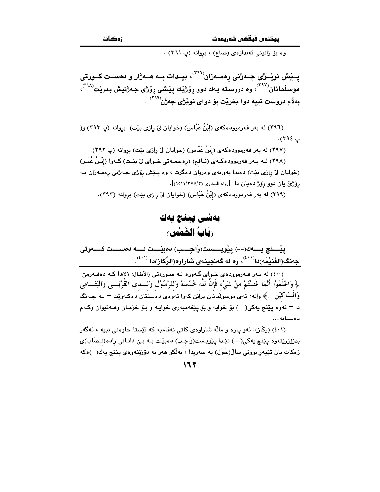وه بوْ زانيني ئەندازەي (صَاع) ، بروانە (پ ٣٦١) .

پــێش نوێــژی جــهژنی رهمــهزان<sup>(۳۹٦)</sup>، بیــدات بــه هــهژار و دمســت کــورتی موسلّمانان<sup>(۳۹۷)</sup>، وه دروسته يـهك دوو رۆژێِك يێشى رۆژى جەژنيش بدرێت<sup>(۳۹۸)</sup>، بهلام دروست نييه دوا بخريْت بوْ دواي نويْژي جەژن<sup>(۲۹۹)</sup> .

(٣٩٦) له بهر فهرموودهكهى (إِبْنُ عَبَّاس) (خوايان ليّ رِازِي بيّت) بِرِوانه (پ ٣٩٣) و( پ ۲۹٤).

(٣٩٧) له بهر فهرموودهكهي (إِبْنُ عَبَّاس) (خوايان ليّ رِازي بيّت) بروانه (پ ٣٩٣). (٣٩٨) لــه بــهر فهرموودهكـهى (نَــافـع) (رِهجمـهـتي خــواي ليّ بيّـت) كــهوا (إِبْـنُ عُمَـرٍ) (خوايان ليّ رازي بيّت) دهيدا بهوانهي وهريان دهگرت ، وه پيّش رِوّژي جـهژني رِهمـهزان بـه رِيُوْرُيِّ بِيَانِ دُوو رِيُوْرُ دُهِيَانِ دَا [رواه البِخاري (١/٥١١/٣٧٥)].

(۳۹۹) له بهر فهرموودهکهی (إِبْنُ عَبَّاس) (خوایان لیّ رِازی بیّت) بروانه (۳۹۳).

### بەشى يېننچ يەك (بَابُ الْخُمْس

يٽنچ يسەك(---) يێويسست(وَاجسب) دەبێست لسە دەسست كسەوتى جەنگ(الغَنيْمَه)دا $^{(i\,\boldsymbol{\cdot}\, \boldsymbol{\cdot})}$ ، وه له گەنجينەي شاراوه(الرِّكَاز)دا  $^{(i\,\boldsymbol{\cdot}\, \boldsymbol{\cdot})}$ .

(٤٠٠) له بـهر فـهرمووده ي خـواي گـهوره لـه سـورهتي (الأنفـال: ٤١)دا كـه دهفـهرميّ: ﴿ وَاعْلَمُوْا أَنَّمَا غَنْمْتُمْ مِنْ شَيْءٍ فَإِنَّ لَلَّهِ خُمُسَهُ وَللرَّسُوْلِ وَلَـــذي القَرْبَـــي وَاليَتَـــامَي وَالْمُسَاكَيْنِ …﴾ واته: ئەي موسولُمانان بزانن كەوا ئەوەي دەستتان دەكـەوپيت – لـە جـەنگ دا – ئەوە يێنج يەكى(---) بۆ خوايە و بۆ يێغەمبەرى خوايـە و بـۆ خزمـان وھــەتيوان وكــەم دەستانە…

(٤٠١) (رکَاز): ئەو يارە و مالّه شاراوەي کاتى نەفاميە کە ئێستا خاوەنى نييە ، ئەگەر بدزۆزرێتەوه پێنچ پەكى(---) تێدا پێويست(وَاجب) دەبێت بـه بـێ دانـانى رِادە(نـصَاب)ى زهکات بان تٽيەر بووني سالْ(حَوْل) به سەريدا ، بەلکو ھەر بە دۆزێنەوەي يێنچ بەك( )ەکە